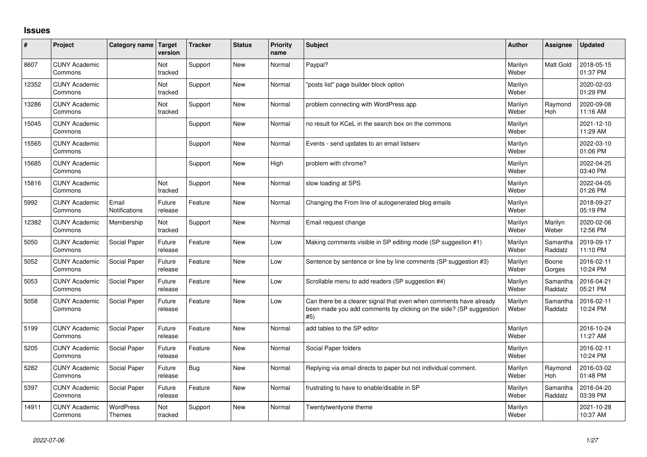## **Issues**

| ∦     | Project                         | Category name                     | Target<br>version     | <b>Tracker</b> | <b>Status</b> | Priority<br>name | <b>Subject</b>                                                                                                                                  | <b>Author</b>    | Assignee              | <b>Updated</b>         |
|-------|---------------------------------|-----------------------------------|-----------------------|----------------|---------------|------------------|-------------------------------------------------------------------------------------------------------------------------------------------------|------------------|-----------------------|------------------------|
| 8607  | <b>CUNY Academic</b><br>Commons |                                   | Not<br>tracked        | Support        | <b>New</b>    | Normal           | Paypal?                                                                                                                                         | Marilyn<br>Weber | Matt Gold             | 2018-05-15<br>01:37 PM |
| 12352 | <b>CUNY Academic</b><br>Commons |                                   | <b>Not</b><br>tracked | Support        | <b>New</b>    | Normal           | 'posts list" page builder block option                                                                                                          | Marilyn<br>Weber |                       | 2020-02-03<br>01:29 PM |
| 13286 | <b>CUNY Academic</b><br>Commons |                                   | Not<br>tracked        | Support        | <b>New</b>    | Normal           | problem connecting with WordPress app                                                                                                           | Marilyn<br>Weber | Raymond<br>Hoh        | 2020-09-08<br>11:16 AM |
| 15045 | <b>CUNY Academic</b><br>Commons |                                   |                       | Support        | <b>New</b>    | Normal           | no result for KCeL in the search box on the commons                                                                                             | Marilyn<br>Weber |                       | 2021-12-10<br>11:29 AM |
| 15565 | <b>CUNY Academic</b><br>Commons |                                   |                       | Support        | <b>New</b>    | Normal           | Events - send updates to an email listserv                                                                                                      | Marilyn<br>Weber |                       | 2022-03-10<br>01:06 PM |
| 15685 | <b>CUNY Academic</b><br>Commons |                                   |                       | Support        | <b>New</b>    | High             | problem with chrome?                                                                                                                            | Marilyn<br>Weber |                       | 2022-04-25<br>03:40 PM |
| 15816 | <b>CUNY Academic</b><br>Commons |                                   | Not<br>tracked        | Support        | <b>New</b>    | Normal           | slow loading at SPS                                                                                                                             | Marilyn<br>Weber |                       | 2022-04-05<br>01:26 PM |
| 5992  | <b>CUNY Academic</b><br>Commons | Email<br>Notifications            | Future<br>release     | Feature        | <b>New</b>    | Normal           | Changing the From line of autogenerated blog emails                                                                                             | Marilyn<br>Weber |                       | 2018-09-27<br>05:19 PM |
| 12382 | <b>CUNY Academic</b><br>Commons | Membership                        | Not<br>tracked        | Support        | <b>New</b>    | Normal           | Email request change                                                                                                                            | Marilyn<br>Weber | Marilyn<br>Weber      | 2020-02-06<br>12:56 PM |
| 5050  | <b>CUNY Academic</b><br>Commons | Social Paper                      | Future<br>release     | Feature        | <b>New</b>    | Low              | Making comments visible in SP editing mode (SP suggestion #1)                                                                                   | Marilyn<br>Weber | Samantha<br>Raddatz   | 2019-09-17<br>11:10 PM |
| 5052  | <b>CUNY Academic</b><br>Commons | Social Paper                      | Future<br>release     | Feature        | <b>New</b>    | Low              | Sentence by sentence or line by line comments (SP suggestion #3)                                                                                | Marilyn<br>Weber | Boone<br>Gorges       | 2016-02-11<br>10:24 PM |
| 5053  | <b>CUNY Academic</b><br>Commons | Social Paper                      | Future<br>release     | Feature        | <b>New</b>    | Low              | Scrollable menu to add readers (SP suggestion #4)                                                                                               | Marilyn<br>Weber | Samantha<br>Raddatz   | 2016-04-21<br>05:21 PM |
| 5058  | <b>CUNY Academic</b><br>Commons | Social Paper                      | Future<br>release     | Feature        | <b>New</b>    | Low              | Can there be a clearer signal that even when comments have already<br>been made you add comments by clicking on the side? (SP suggestion<br>#5) | Marilyn<br>Weber | Samantha<br>Raddatz   | 2016-02-11<br>10:24 PM |
| 5199  | <b>CUNY Academic</b><br>Commons | Social Paper                      | Future<br>release     | Feature        | <b>New</b>    | Normal           | add tables to the SP editor                                                                                                                     | Marilyn<br>Weber |                       | 2016-10-24<br>11:27 AM |
| 5205  | <b>CUNY Academic</b><br>Commons | Social Paper                      | Future<br>release     | Feature        | <b>New</b>    | Normal           | Social Paper folders                                                                                                                            | Marilyn<br>Weber |                       | 2016-02-11<br>10:24 PM |
| 5282  | <b>CUNY Academic</b><br>Commons | Social Paper                      | Future<br>release     | <b>Bug</b>     | <b>New</b>    | Normal           | Replying via email directs to paper but not individual comment.                                                                                 | Marilyn<br>Weber | Raymond<br><b>Hoh</b> | 2016-03-02<br>01:48 PM |
| 5397  | <b>CUNY Academic</b><br>Commons | Social Paper                      | Future<br>release     | Feature        | <b>New</b>    | Normal           | frustrating to have to enable/disable in SP                                                                                                     | Marilyn<br>Weber | Samantha<br>Raddatz   | 2016-04-20<br>03:39 PM |
| 14911 | <b>CUNY Academic</b><br>Commons | <b>WordPress</b><br><b>Themes</b> | Not<br>tracked        | Support        | <b>New</b>    | Normal           | Twentytwentyone theme                                                                                                                           | Marilyn<br>Weber |                       | 2021-10-28<br>10:37 AM |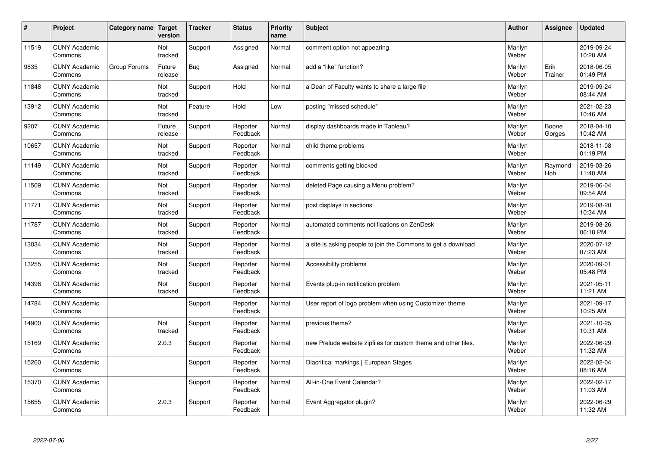| $\pmb{\sharp}$ | Project                         | Category name | <b>Target</b><br>version | <b>Tracker</b> | <b>Status</b>        | <b>Priority</b><br>name | <b>Subject</b>                                                 | <b>Author</b>    | Assignee        | <b>Updated</b>         |
|----------------|---------------------------------|---------------|--------------------------|----------------|----------------------|-------------------------|----------------------------------------------------------------|------------------|-----------------|------------------------|
| 11519          | <b>CUNY Academic</b><br>Commons |               | Not<br>tracked           | Support        | Assigned             | Normal                  | comment option not appearing                                   | Marilyn<br>Weber |                 | 2019-09-24<br>10:28 AM |
| 9835           | <b>CUNY Academic</b><br>Commons | Group Forums  | Future<br>release        | <b>Bug</b>     | Assigned             | Normal                  | add a "like" function?                                         | Marilyn<br>Weber | Erik<br>Trainer | 2018-06-05<br>01:49 PM |
| 11848          | <b>CUNY Academic</b><br>Commons |               | Not<br>tracked           | Support        | Hold                 | Normal                  | a Dean of Faculty wants to share a large file                  | Marilyn<br>Weber |                 | 2019-09-24<br>08:44 AM |
| 13912          | <b>CUNY Academic</b><br>Commons |               | Not<br>tracked           | Feature        | Hold                 | Low                     | posting "missed schedule"                                      | Marilyn<br>Weber |                 | 2021-02-23<br>10:46 AM |
| 9207           | <b>CUNY Academic</b><br>Commons |               | Future<br>release        | Support        | Reporter<br>Feedback | Normal                  | display dashboards made in Tableau?                            | Marilyn<br>Weber | Boone<br>Gorges | 2018-04-10<br>10:42 AM |
| 10657          | <b>CUNY Academic</b><br>Commons |               | Not<br>tracked           | Support        | Reporter<br>Feedback | Normal                  | child theme problems                                           | Marilyn<br>Weber |                 | 2018-11-08<br>01:19 PM |
| 11149          | <b>CUNY Academic</b><br>Commons |               | Not<br>tracked           | Support        | Reporter<br>Feedback | Normal                  | comments getting blocked                                       | Marilyn<br>Weber | Raymond<br>Hoh  | 2019-03-26<br>11:40 AM |
| 11509          | <b>CUNY Academic</b><br>Commons |               | Not<br>tracked           | Support        | Reporter<br>Feedback | Normal                  | deleted Page causing a Menu problem?                           | Marilyn<br>Weber |                 | 2019-06-04<br>09:54 AM |
| 11771          | <b>CUNY Academic</b><br>Commons |               | Not<br>tracked           | Support        | Reporter<br>Feedback | Normal                  | post displays in sections                                      | Marilyn<br>Weber |                 | 2019-08-20<br>10:34 AM |
| 11787          | <b>CUNY Academic</b><br>Commons |               | Not<br>tracked           | Support        | Reporter<br>Feedback | Normal                  | automated comments notifications on ZenDesk                    | Marilyn<br>Weber |                 | 2019-08-26<br>06:18 PM |
| 13034          | <b>CUNY Academic</b><br>Commons |               | Not<br>tracked           | Support        | Reporter<br>Feedback | Normal                  | a site is asking people to join the Commons to get a download  | Marilyn<br>Weber |                 | 2020-07-12<br>07:23 AM |
| 13255          | <b>CUNY Academic</b><br>Commons |               | Not<br>tracked           | Support        | Reporter<br>Feedback | Normal                  | Accessibility problems                                         | Marilyn<br>Weber |                 | 2020-09-01<br>05:48 PM |
| 14398          | <b>CUNY Academic</b><br>Commons |               | Not<br>tracked           | Support        | Reporter<br>Feedback | Normal                  | Events plug-in notification problem                            | Marilyn<br>Weber |                 | 2021-05-11<br>11:21 AM |
| 14784          | <b>CUNY Academic</b><br>Commons |               |                          | Support        | Reporter<br>Feedback | Normal                  | User report of logo problem when using Customizer theme        | Marilyn<br>Weber |                 | 2021-09-17<br>10:25 AM |
| 14900          | <b>CUNY Academic</b><br>Commons |               | Not<br>tracked           | Support        | Reporter<br>Feedback | Normal                  | previous theme?                                                | Marilyn<br>Weber |                 | 2021-10-25<br>10:31 AM |
| 15169          | <b>CUNY Academic</b><br>Commons |               | 2.0.3                    | Support        | Reporter<br>Feedback | Normal                  | new Prelude website zipfiles for custom theme and other files. | Marilyn<br>Weber |                 | 2022-06-29<br>11:32 AM |
| 15260          | <b>CUNY Academic</b><br>Commons |               |                          | Support        | Reporter<br>Feedback | Normal                  | Diacritical markings   European Stages                         | Marilyn<br>Weber |                 | 2022-02-04<br>08:16 AM |
| 15370          | <b>CUNY Academic</b><br>Commons |               |                          | Support        | Reporter<br>Feedback | Normal                  | All-in-One Event Calendar?                                     | Marilyn<br>Weber |                 | 2022-02-17<br>11:03 AM |
| 15655          | <b>CUNY Academic</b><br>Commons |               | 2.0.3                    | Support        | Reporter<br>Feedback | Normal                  | Event Aggregator plugin?                                       | Marilyn<br>Weber |                 | 2022-06-29<br>11:32 AM |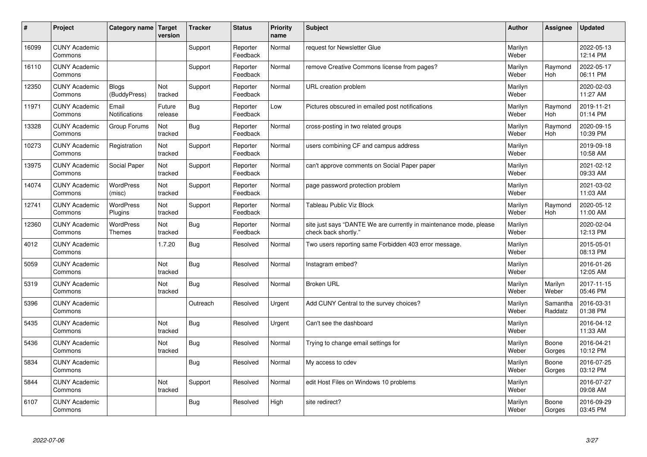| #     | Project                         | Category name   Target            | version           | <b>Tracker</b> | <b>Status</b>        | <b>Priority</b><br>name | <b>Subject</b>                                                                             | <b>Author</b>    | Assignee              | <b>Updated</b>         |
|-------|---------------------------------|-----------------------------------|-------------------|----------------|----------------------|-------------------------|--------------------------------------------------------------------------------------------|------------------|-----------------------|------------------------|
| 16099 | <b>CUNY Academic</b><br>Commons |                                   |                   | Support        | Reporter<br>Feedback | Normal                  | request for Newsletter Glue                                                                | Marilyn<br>Weber |                       | 2022-05-13<br>12:14 PM |
| 16110 | <b>CUNY Academic</b><br>Commons |                                   |                   | Support        | Reporter<br>Feedback | Normal                  | remove Creative Commons license from pages?                                                | Marilyn<br>Weber | Raymond<br><b>Hoh</b> | 2022-05-17<br>06:11 PM |
| 12350 | <b>CUNY Academic</b><br>Commons | <b>Blogs</b><br>(BuddyPress)      | Not<br>tracked    | Support        | Reporter<br>Feedback | Normal                  | URL creation problem                                                                       | Marilyn<br>Weber |                       | 2020-02-03<br>11:27 AM |
| 11971 | <b>CUNY Academic</b><br>Commons | Email<br>Notifications            | Future<br>release | <b>Bug</b>     | Reporter<br>Feedback | Low                     | Pictures obscured in emailed post notifications                                            | Marilyn<br>Weber | Raymond<br>Hoh        | 2019-11-21<br>01:14 PM |
| 13328 | <b>CUNY Academic</b><br>Commons | Group Forums                      | Not<br>tracked    | Bug            | Reporter<br>Feedback | Normal                  | cross-posting in two related groups                                                        | Marilyn<br>Weber | Raymond<br>Hoh        | 2020-09-15<br>10:39 PM |
| 10273 | <b>CUNY Academic</b><br>Commons | Registration                      | Not<br>tracked    | Support        | Reporter<br>Feedback | Normal                  | users combining CF and campus address                                                      | Marilyn<br>Weber |                       | 2019-09-18<br>10:58 AM |
| 13975 | <b>CUNY Academic</b><br>Commons | Social Paper                      | Not<br>tracked    | Support        | Reporter<br>Feedback | Normal                  | can't approve comments on Social Paper paper                                               | Marilyn<br>Weber |                       | 2021-02-12<br>09:33 AM |
| 14074 | <b>CUNY Academic</b><br>Commons | WordPress<br>(misc)               | Not<br>tracked    | Support        | Reporter<br>Feedback | Normal                  | page password protection problem                                                           | Marilyn<br>Weber |                       | 2021-03-02<br>11:03 AM |
| 12741 | <b>CUNY Academic</b><br>Commons | <b>WordPress</b><br>Plugins       | Not<br>tracked    | Support        | Reporter<br>Feedback | Normal                  | <b>Tableau Public Viz Block</b>                                                            | Marilyn<br>Weber | Raymond<br>Hoh        | 2020-05-12<br>11:00 AM |
| 12360 | <b>CUNY Academic</b><br>Commons | <b>WordPress</b><br><b>Themes</b> | Not<br>tracked    | Bug            | Reporter<br>Feedback | Normal                  | site just says "DANTE We are currently in maintenance mode, please<br>check back shortly." | Marilyn<br>Weber |                       | 2020-02-04<br>12:13 PM |
| 4012  | <b>CUNY Academic</b><br>Commons |                                   | 1.7.20            | Bug            | Resolved             | Normal                  | Two users reporting same Forbidden 403 error message.                                      | Marilyn<br>Weber |                       | 2015-05-01<br>08:13 PM |
| 5059  | <b>CUNY Academic</b><br>Commons |                                   | Not<br>tracked    | Bug            | Resolved             | Normal                  | Instagram embed?                                                                           | Marilyn<br>Weber |                       | 2016-01-26<br>12:05 AM |
| 5319  | <b>CUNY Academic</b><br>Commons |                                   | Not<br>tracked    | Bug            | Resolved             | Normal                  | <b>Broken URL</b>                                                                          | Marilyn<br>Weber | Marilyn<br>Weber      | 2017-11-15<br>05:46 PM |
| 5396  | <b>CUNY Academic</b><br>Commons |                                   |                   | Outreach       | Resolved             | Urgent                  | Add CUNY Central to the survey choices?                                                    | Marilyn<br>Weber | Samantha<br>Raddatz   | 2016-03-31<br>01:38 PM |
| 5435  | <b>CUNY Academic</b><br>Commons |                                   | Not<br>tracked    | Bug            | Resolved             | Urgent                  | Can't see the dashboard                                                                    | Marilyn<br>Weber |                       | 2016-04-12<br>11:33 AM |
| 5436  | <b>CUNY Academic</b><br>Commons |                                   | Not<br>tracked    | <b>Bug</b>     | Resolved             | Normal                  | Trying to change email settings for                                                        | Marilyn<br>Weber | Boone<br>Gorges       | 2016-04-21<br>10:12 PM |
| 5834  | <b>CUNY Academic</b><br>Commons |                                   |                   | Bug            | Resolved             | Normal                  | My access to cdev                                                                          | Marilyn<br>Weber | Boone<br>Gorges       | 2016-07-25<br>03:12 PM |
| 5844  | <b>CUNY Academic</b><br>Commons |                                   | Not<br>tracked    | Support        | Resolved             | Normal                  | edit Host Files on Windows 10 problems                                                     | Marilyn<br>Weber |                       | 2016-07-27<br>09:08 AM |
| 6107  | <b>CUNY Academic</b><br>Commons |                                   |                   | Bug            | Resolved             | High                    | site redirect?                                                                             | Marilyn<br>Weber | Boone<br>Gorges       | 2016-09-29<br>03:45 PM |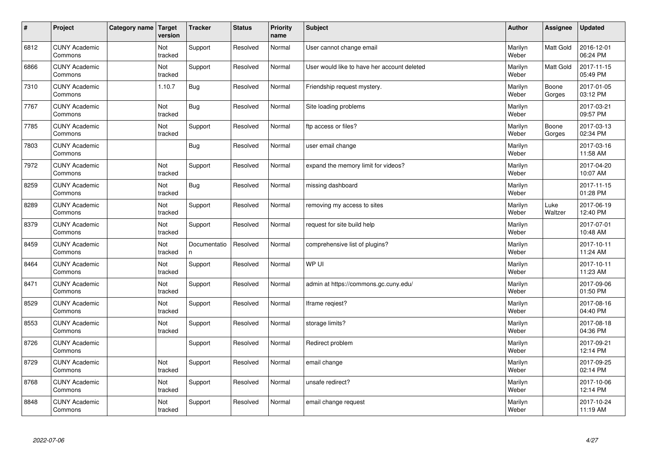| $\vert$ # | Project                         | <b>Category name</b> | Target<br>version | <b>Tracker</b>     | <b>Status</b> | <b>Priority</b><br>name | <b>Subject</b>                              | <b>Author</b>    | <b>Assignee</b>  | <b>Updated</b>         |
|-----------|---------------------------------|----------------------|-------------------|--------------------|---------------|-------------------------|---------------------------------------------|------------------|------------------|------------------------|
| 6812      | <b>CUNY Academic</b><br>Commons |                      | Not<br>tracked    | Support            | Resolved      | Normal                  | User cannot change email                    | Marilyn<br>Weber | <b>Matt Gold</b> | 2016-12-01<br>06:24 PM |
| 6866      | <b>CUNY Academic</b><br>Commons |                      | Not<br>tracked    | Support            | Resolved      | Normal                  | User would like to have her account deleted | Marilyn<br>Weber | <b>Matt Gold</b> | 2017-11-15<br>05:49 PM |
| 7310      | <b>CUNY Academic</b><br>Commons |                      | 1.10.7            | <b>Bug</b>         | Resolved      | Normal                  | Friendship request mystery.                 | Marilyn<br>Weber | Boone<br>Gorges  | 2017-01-05<br>03:12 PM |
| 7767      | <b>CUNY Academic</b><br>Commons |                      | Not<br>tracked    | <b>Bug</b>         | Resolved      | Normal                  | Site loading problems                       | Marilyn<br>Weber |                  | 2017-03-21<br>09:57 PM |
| 7785      | <b>CUNY Academic</b><br>Commons |                      | Not<br>tracked    | Support            | Resolved      | Normal                  | ftp access or files?                        | Marilyn<br>Weber | Boone<br>Gorges  | 2017-03-13<br>02:34 PM |
| 7803      | <b>CUNY Academic</b><br>Commons |                      |                   | Bug                | Resolved      | Normal                  | user email change                           | Marilyn<br>Weber |                  | 2017-03-16<br>11:58 AM |
| 7972      | <b>CUNY Academic</b><br>Commons |                      | Not<br>tracked    | Support            | Resolved      | Normal                  | expand the memory limit for videos?         | Marilyn<br>Weber |                  | 2017-04-20<br>10:07 AM |
| 8259      | <b>CUNY Academic</b><br>Commons |                      | Not<br>tracked    | <b>Bug</b>         | Resolved      | Normal                  | missing dashboard                           | Marilyn<br>Weber |                  | 2017-11-15<br>01:28 PM |
| 8289      | <b>CUNY Academic</b><br>Commons |                      | Not<br>tracked    | Support            | Resolved      | Normal                  | removing my access to sites                 | Marilyn<br>Weber | Luke<br>Waltzer  | 2017-06-19<br>12:40 PM |
| 8379      | <b>CUNY Academic</b><br>Commons |                      | Not<br>tracked    | Support            | Resolved      | Normal                  | request for site build help                 | Marilyn<br>Weber |                  | 2017-07-01<br>10:48 AM |
| 8459      | <b>CUNY Academic</b><br>Commons |                      | Not<br>tracked    | Documentatio<br>n. | Resolved      | Normal                  | comprehensive list of plugins?              | Marilyn<br>Weber |                  | 2017-10-11<br>11:24 AM |
| 8464      | <b>CUNY Academic</b><br>Commons |                      | Not<br>tracked    | Support            | Resolved      | Normal                  | WP UI                                       | Marilyn<br>Weber |                  | 2017-10-11<br>11:23 AM |
| 8471      | <b>CUNY Academic</b><br>Commons |                      | Not<br>tracked    | Support            | Resolved      | Normal                  | admin at https://commons.gc.cuny.edu/       | Marilyn<br>Weber |                  | 2017-09-06<br>01:50 PM |
| 8529      | <b>CUNY Academic</b><br>Commons |                      | Not<br>tracked    | Support            | Resolved      | Normal                  | Iframe regiest?                             | Marilyn<br>Weber |                  | 2017-08-16<br>04:40 PM |
| 8553      | <b>CUNY Academic</b><br>Commons |                      | Not<br>tracked    | Support            | Resolved      | Normal                  | storage limits?                             | Marilyn<br>Weber |                  | 2017-08-18<br>04:36 PM |
| 8726      | <b>CUNY Academic</b><br>Commons |                      |                   | Support            | Resolved      | Normal                  | Redirect problem                            | Marilyn<br>Weber |                  | 2017-09-21<br>12:14 PM |
| 8729      | <b>CUNY Academic</b><br>Commons |                      | Not<br>tracked    | Support            | Resolved      | Normal                  | email change                                | Marilyn<br>Weber |                  | 2017-09-25<br>02:14 PM |
| 8768      | <b>CUNY Academic</b><br>Commons |                      | Not<br>tracked    | Support            | Resolved      | Normal                  | unsafe redirect?                            | Marilyn<br>Weber |                  | 2017-10-06<br>12:14 PM |
| 8848      | <b>CUNY Academic</b><br>Commons |                      | Not<br>tracked    | Support            | Resolved      | Normal                  | email change request                        | Marilyn<br>Weber |                  | 2017-10-24<br>11:19 AM |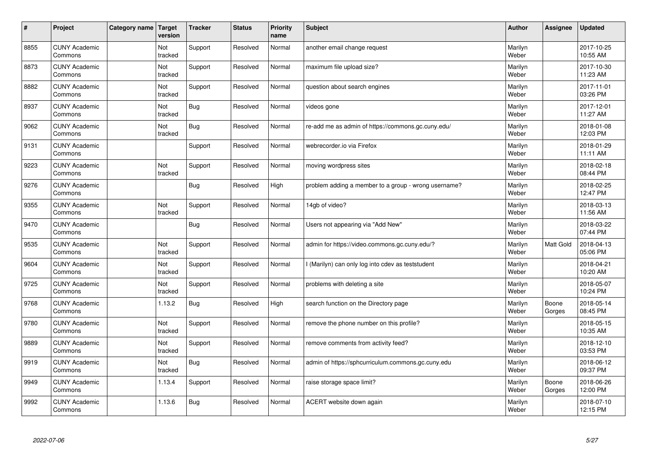| $\sharp$ | Project                         | Category name | Target<br>version | <b>Tracker</b> | <b>Status</b> | <b>Priority</b><br>name | <b>Subject</b>                                       | <b>Author</b>    | Assignee        | <b>Updated</b>         |
|----------|---------------------------------|---------------|-------------------|----------------|---------------|-------------------------|------------------------------------------------------|------------------|-----------------|------------------------|
| 8855     | <b>CUNY Academic</b><br>Commons |               | Not<br>tracked    | Support        | Resolved      | Normal                  | another email change request                         | Marilyn<br>Weber |                 | 2017-10-25<br>10:55 AM |
| 8873     | <b>CUNY Academic</b><br>Commons |               | Not<br>tracked    | Support        | Resolved      | Normal                  | maximum file upload size?                            | Marilyn<br>Weber |                 | 2017-10-30<br>11:23 AM |
| 8882     | <b>CUNY Academic</b><br>Commons |               | Not<br>tracked    | Support        | Resolved      | Normal                  | question about search engines                        | Marilyn<br>Weber |                 | 2017-11-01<br>03:26 PM |
| 8937     | <b>CUNY Academic</b><br>Commons |               | Not<br>tracked    | Bug            | Resolved      | Normal                  | videos gone                                          | Marilyn<br>Weber |                 | 2017-12-01<br>11:27 AM |
| 9062     | <b>CUNY Academic</b><br>Commons |               | Not<br>tracked    | Bug            | Resolved      | Normal                  | re-add me as admin of https://commons.gc.cuny.edu/   | Marilyn<br>Weber |                 | 2018-01-08<br>12:03 PM |
| 9131     | <b>CUNY Academic</b><br>Commons |               |                   | Support        | Resolved      | Normal                  | webrecorder.io via Firefox                           | Marilyn<br>Weber |                 | 2018-01-29<br>11:11 AM |
| 9223     | <b>CUNY Academic</b><br>Commons |               | Not<br>tracked    | Support        | Resolved      | Normal                  | moving wordpress sites                               | Marilyn<br>Weber |                 | 2018-02-18<br>08:44 PM |
| 9276     | <b>CUNY Academic</b><br>Commons |               |                   | Bug            | Resolved      | High                    | problem adding a member to a group - wrong username? | Marilyn<br>Weber |                 | 2018-02-25<br>12:47 PM |
| 9355     | <b>CUNY Academic</b><br>Commons |               | Not<br>tracked    | Support        | Resolved      | Normal                  | 14gb of video?                                       | Marilyn<br>Weber |                 | 2018-03-13<br>11:56 AM |
| 9470     | <b>CUNY Academic</b><br>Commons |               |                   | <b>Bug</b>     | Resolved      | Normal                  | Users not appearing via "Add New"                    | Marilyn<br>Weber |                 | 2018-03-22<br>07:44 PM |
| 9535     | <b>CUNY Academic</b><br>Commons |               | Not<br>tracked    | Support        | Resolved      | Normal                  | admin for https://video.commons.gc.cuny.edu/?        | Marilyn<br>Weber | Matt Gold       | 2018-04-13<br>05:06 PM |
| 9604     | <b>CUNY Academic</b><br>Commons |               | Not<br>tracked    | Support        | Resolved      | Normal                  | (Marilyn) can only log into cdev as teststudent      | Marilyn<br>Weber |                 | 2018-04-21<br>10:20 AM |
| 9725     | <b>CUNY Academic</b><br>Commons |               | Not<br>tracked    | Support        | Resolved      | Normal                  | problems with deleting a site                        | Marilyn<br>Weber |                 | 2018-05-07<br>10:24 PM |
| 9768     | <b>CUNY Academic</b><br>Commons |               | 1.13.2            | <b>Bug</b>     | Resolved      | High                    | search function on the Directory page                | Marilyn<br>Weber | Boone<br>Gorges | 2018-05-14<br>08:45 PM |
| 9780     | <b>CUNY Academic</b><br>Commons |               | Not<br>tracked    | Support        | Resolved      | Normal                  | remove the phone number on this profile?             | Marilyn<br>Weber |                 | 2018-05-15<br>10:35 AM |
| 9889     | <b>CUNY Academic</b><br>Commons |               | Not<br>tracked    | Support        | Resolved      | Normal                  | remove comments from activity feed?                  | Marilyn<br>Weber |                 | 2018-12-10<br>03:53 PM |
| 9919     | <b>CUNY Academic</b><br>Commons |               | Not<br>tracked    | <b>Bug</b>     | Resolved      | Normal                  | admin of https://sphcurriculum.commons.gc.cuny.edu   | Marilyn<br>Weber |                 | 2018-06-12<br>09:37 PM |
| 9949     | <b>CUNY Academic</b><br>Commons |               | 1.13.4            | Support        | Resolved      | Normal                  | raise storage space limit?                           | Marilyn<br>Weber | Boone<br>Gorges | 2018-06-26<br>12:00 PM |
| 9992     | <b>CUNY Academic</b><br>Commons |               | 1.13.6            | Bug            | Resolved      | Normal                  | ACERT website down again                             | Marilyn<br>Weber |                 | 2018-07-10<br>12:15 PM |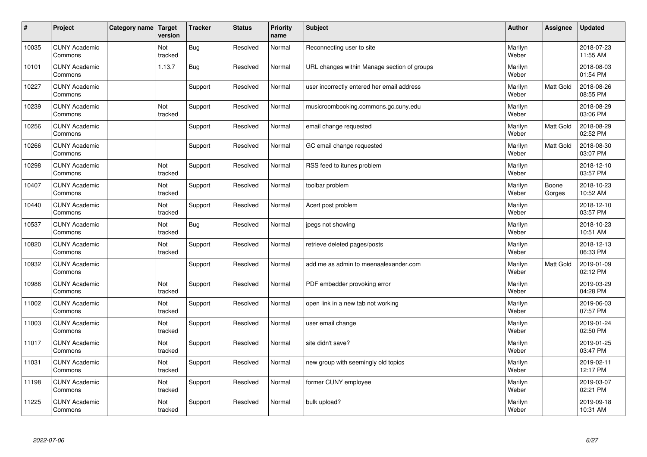| $\sharp$ | Project                         | Category name   Target | version        | <b>Tracker</b> | <b>Status</b> | <b>Priority</b><br>name | <b>Subject</b>                              | <b>Author</b>    | Assignee         | <b>Updated</b>         |
|----------|---------------------------------|------------------------|----------------|----------------|---------------|-------------------------|---------------------------------------------|------------------|------------------|------------------------|
| 10035    | <b>CUNY Academic</b><br>Commons |                        | Not<br>tracked | <b>Bug</b>     | Resolved      | Normal                  | Reconnecting user to site                   | Marilyn<br>Weber |                  | 2018-07-23<br>11:55 AM |
| 10101    | <b>CUNY Academic</b><br>Commons |                        | 1.13.7         | Bug            | Resolved      | Normal                  | URL changes within Manage section of groups | Marilyn<br>Weber |                  | 2018-08-03<br>01:54 PM |
| 10227    | <b>CUNY Academic</b><br>Commons |                        |                | Support        | Resolved      | Normal                  | user incorrectly entered her email address  | Marilyn<br>Weber | Matt Gold        | 2018-08-26<br>08:55 PM |
| 10239    | <b>CUNY Academic</b><br>Commons |                        | Not<br>tracked | Support        | Resolved      | Normal                  | musicroombooking.commons.gc.cuny.edu        | Marilyn<br>Weber |                  | 2018-08-29<br>03:06 PM |
| 10256    | <b>CUNY Academic</b><br>Commons |                        |                | Support        | Resolved      | Normal                  | email change requested                      | Marilyn<br>Weber | <b>Matt Gold</b> | 2018-08-29<br>02:52 PM |
| 10266    | <b>CUNY Academic</b><br>Commons |                        |                | Support        | Resolved      | Normal                  | GC email change requested                   | Marilyn<br>Weber | Matt Gold        | 2018-08-30<br>03:07 PM |
| 10298    | <b>CUNY Academic</b><br>Commons |                        | Not<br>tracked | Support        | Resolved      | Normal                  | RSS feed to itunes problem                  | Marilyn<br>Weber |                  | 2018-12-10<br>03:57 PM |
| 10407    | <b>CUNY Academic</b><br>Commons |                        | Not<br>tracked | Support        | Resolved      | Normal                  | toolbar problem                             | Marilyn<br>Weber | Boone<br>Gorges  | 2018-10-23<br>10:52 AM |
| 10440    | <b>CUNY Academic</b><br>Commons |                        | Not<br>tracked | Support        | Resolved      | Normal                  | Acert post problem                          | Marilyn<br>Weber |                  | 2018-12-10<br>03:57 PM |
| 10537    | <b>CUNY Academic</b><br>Commons |                        | Not<br>tracked | <b>Bug</b>     | Resolved      | Normal                  | jpegs not showing                           | Marilyn<br>Weber |                  | 2018-10-23<br>10:51 AM |
| 10820    | <b>CUNY Academic</b><br>Commons |                        | Not<br>tracked | Support        | Resolved      | Normal                  | retrieve deleted pages/posts                | Marilyn<br>Weber |                  | 2018-12-13<br>06:33 PM |
| 10932    | <b>CUNY Academic</b><br>Commons |                        |                | Support        | Resolved      | Normal                  | add me as admin to meenaalexander.com       | Marilyn<br>Weber | Matt Gold        | 2019-01-09<br>02:12 PM |
| 10986    | <b>CUNY Academic</b><br>Commons |                        | Not<br>tracked | Support        | Resolved      | Normal                  | PDF embedder provoking error                | Marilyn<br>Weber |                  | 2019-03-29<br>04:28 PM |
| 11002    | <b>CUNY Academic</b><br>Commons |                        | Not<br>tracked | Support        | Resolved      | Normal                  | open link in a new tab not working          | Marilyn<br>Weber |                  | 2019-06-03<br>07:57 PM |
| 11003    | <b>CUNY Academic</b><br>Commons |                        | Not<br>tracked | Support        | Resolved      | Normal                  | user email change                           | Marilyn<br>Weber |                  | 2019-01-24<br>02:50 PM |
| 11017    | <b>CUNY Academic</b><br>Commons |                        | Not<br>tracked | Support        | Resolved      | Normal                  | site didn't save?                           | Marilyn<br>Weber |                  | 2019-01-25<br>03:47 PM |
| 11031    | <b>CUNY Academic</b><br>Commons |                        | Not<br>tracked | Support        | Resolved      | Normal                  | new group with seemingly old topics         | Marilyn<br>Weber |                  | 2019-02-11<br>12:17 PM |
| 11198    | <b>CUNY Academic</b><br>Commons |                        | Not<br>tracked | Support        | Resolved      | Normal                  | former CUNY employee                        | Marilyn<br>Weber |                  | 2019-03-07<br>02:21 PM |
| 11225    | <b>CUNY Academic</b><br>Commons |                        | Not<br>tracked | Support        | Resolved      | Normal                  | bulk upload?                                | Marilyn<br>Weber |                  | 2019-09-18<br>10:31 AM |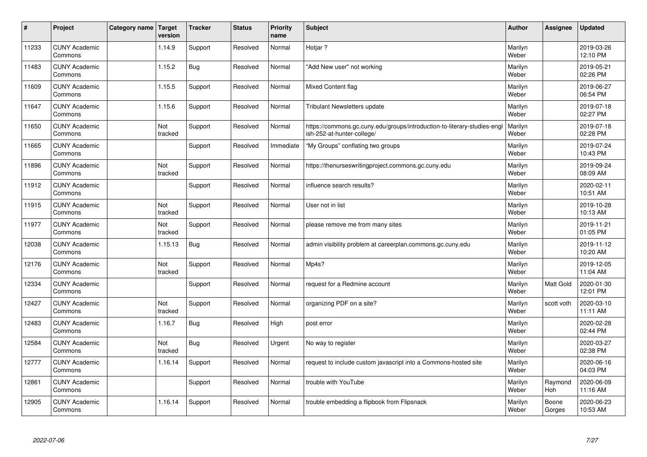| $\sharp$ | Project                         | Category name   Target | version        | <b>Tracker</b> | <b>Status</b> | <b>Priority</b><br>name | <b>Subject</b>                                                                                         | <b>Author</b>    | Assignee        | <b>Updated</b>         |
|----------|---------------------------------|------------------------|----------------|----------------|---------------|-------------------------|--------------------------------------------------------------------------------------------------------|------------------|-----------------|------------------------|
| 11233    | <b>CUNY Academic</b><br>Commons |                        | 1.14.9         | Support        | Resolved      | Normal                  | Hotjar?                                                                                                | Marilyn<br>Weber |                 | 2019-03-26<br>12:10 PM |
| 11483    | <b>CUNY Academic</b><br>Commons |                        | 1.15.2         | <b>Bug</b>     | Resolved      | Normal                  | 'Add New user" not working                                                                             | Marilyn<br>Weber |                 | 2019-05-21<br>02:26 PM |
| 11609    | <b>CUNY Academic</b><br>Commons |                        | 1.15.5         | Support        | Resolved      | Normal                  | <b>Mixed Content flag</b>                                                                              | Marilyn<br>Weber |                 | 2019-06-27<br>06:54 PM |
| 11647    | <b>CUNY Academic</b><br>Commons |                        | 1.15.6         | Support        | Resolved      | Normal                  | Tribulant Newsletters update                                                                           | Marilyn<br>Weber |                 | 2019-07-18<br>02:27 PM |
| 11650    | <b>CUNY Academic</b><br>Commons |                        | Not<br>tracked | Support        | Resolved      | Normal                  | https://commons.gc.cuny.edu/groups/introduction-to-literary-studies-engl<br>ish-252-at-hunter-college/ | Marilyn<br>Weber |                 | 2019-07-18<br>02:28 PM |
| 11665    | <b>CUNY Academic</b><br>Commons |                        |                | Support        | Resolved      | Immediate               | "My Groups" conflating two groups                                                                      | Marilyn<br>Weber |                 | 2019-07-24<br>10:43 PM |
| 11896    | <b>CUNY Academic</b><br>Commons |                        | Not<br>tracked | Support        | Resolved      | Normal                  | https://thenurseswritingproject.commons.gc.cuny.edu                                                    | Marilyn<br>Weber |                 | 2019-09-24<br>08:09 AM |
| 11912    | <b>CUNY Academic</b><br>Commons |                        |                | Support        | Resolved      | Normal                  | influence search results?                                                                              | Marilyn<br>Weber |                 | 2020-02-11<br>10:51 AM |
| 11915    | <b>CUNY Academic</b><br>Commons |                        | Not<br>tracked | Support        | Resolved      | Normal                  | User not in list                                                                                       | Marilyn<br>Weber |                 | 2019-10-28<br>10:13 AM |
| 11977    | <b>CUNY Academic</b><br>Commons |                        | Not<br>tracked | Support        | Resolved      | Normal                  | please remove me from many sites                                                                       | Marilyn<br>Weber |                 | 2019-11-21<br>01:05 PM |
| 12038    | <b>CUNY Academic</b><br>Commons |                        | 1.15.13        | <b>Bug</b>     | Resolved      | Normal                  | admin visibility problem at careerplan.commons.gc.cuny.edu                                             | Marilyn<br>Weber |                 | 2019-11-12<br>10:20 AM |
| 12176    | <b>CUNY Academic</b><br>Commons |                        | Not<br>tracked | Support        | Resolved      | Normal                  | Mp4s?                                                                                                  | Marilyn<br>Weber |                 | 2019-12-05<br>11:04 AM |
| 12334    | <b>CUNY Academic</b><br>Commons |                        |                | Support        | Resolved      | Normal                  | request for a Redmine account                                                                          | Marilyn<br>Weber | Matt Gold       | 2020-01-30<br>12:01 PM |
| 12427    | <b>CUNY Academic</b><br>Commons |                        | Not<br>tracked | Support        | Resolved      | Normal                  | organizing PDF on a site?                                                                              | Marilyn<br>Weber | scott voth      | 2020-03-10<br>11:11 AM |
| 12483    | <b>CUNY Academic</b><br>Commons |                        | 1.16.7         | <b>Bug</b>     | Resolved      | High                    | post error                                                                                             | Marilyn<br>Weber |                 | 2020-02-28<br>02:44 PM |
| 12584    | <b>CUNY Academic</b><br>Commons |                        | Not<br>tracked | <b>Bug</b>     | Resolved      | Urgent                  | No way to register                                                                                     | Marilyn<br>Weber |                 | 2020-03-27<br>02:38 PM |
| 12777    | <b>CUNY Academic</b><br>Commons |                        | 1.16.14        | Support        | Resolved      | Normal                  | request to include custom javascript into a Commons-hosted site                                        | Marilyn<br>Weber |                 | 2020-06-16<br>04:03 PM |
| 12861    | <b>CUNY Academic</b><br>Commons |                        |                | Support        | Resolved      | Normal                  | trouble with YouTube                                                                                   | Marilyn<br>Weber | Raymond<br>Hoh  | 2020-06-09<br>11:16 AM |
| 12905    | <b>CUNY Academic</b><br>Commons |                        | 1.16.14        | Support        | Resolved      | Normal                  | trouble embedding a flipbook from Flipsnack                                                            | Marilyn<br>Weber | Boone<br>Gorges | 2020-06-23<br>10:53 AM |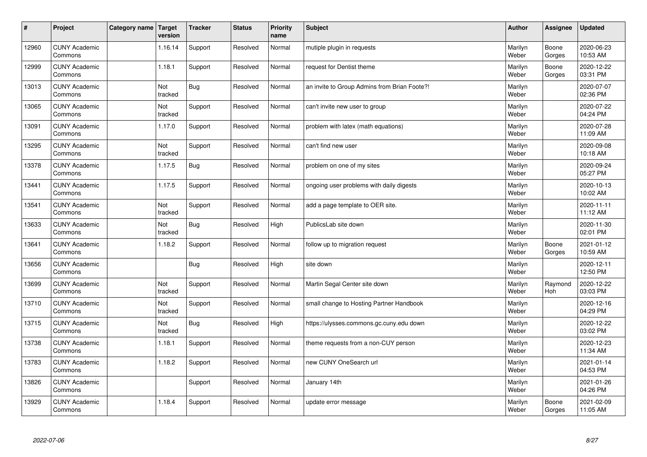| $\sharp$ | Project                         | Category name   Target | version        | <b>Tracker</b> | <b>Status</b> | <b>Priority</b><br>name | <b>Subject</b>                               | <b>Author</b>    | Assignee        | <b>Updated</b>         |
|----------|---------------------------------|------------------------|----------------|----------------|---------------|-------------------------|----------------------------------------------|------------------|-----------------|------------------------|
| 12960    | <b>CUNY Academic</b><br>Commons |                        | 1.16.14        | Support        | Resolved      | Normal                  | mutiple plugin in requests                   | Marilyn<br>Weber | Boone<br>Gorges | 2020-06-23<br>10:53 AM |
| 12999    | <b>CUNY Academic</b><br>Commons |                        | 1.18.1         | Support        | Resolved      | Normal                  | request for Dentist theme                    | Marilyn<br>Weber | Boone<br>Gorges | 2020-12-22<br>03:31 PM |
| 13013    | <b>CUNY Academic</b><br>Commons |                        | Not<br>tracked | <b>Bug</b>     | Resolved      | Normal                  | an invite to Group Admins from Brian Foote?! | Marilyn<br>Weber |                 | 2020-07-07<br>02:36 PM |
| 13065    | <b>CUNY Academic</b><br>Commons |                        | Not<br>tracked | Support        | Resolved      | Normal                  | can't invite new user to group               | Marilyn<br>Weber |                 | 2020-07-22<br>04:24 PM |
| 13091    | <b>CUNY Academic</b><br>Commons |                        | 1.17.0         | Support        | Resolved      | Normal                  | problem with latex (math equations)          | Marilyn<br>Weber |                 | 2020-07-28<br>11:09 AM |
| 13295    | <b>CUNY Academic</b><br>Commons |                        | Not<br>tracked | Support        | Resolved      | Normal                  | can't find new user                          | Marilyn<br>Weber |                 | 2020-09-08<br>10:18 AM |
| 13378    | <b>CUNY Academic</b><br>Commons |                        | 1.17.5         | <b>Bug</b>     | Resolved      | Normal                  | problem on one of my sites                   | Marilyn<br>Weber |                 | 2020-09-24<br>05:27 PM |
| 13441    | <b>CUNY Academic</b><br>Commons |                        | 1.17.5         | Support        | Resolved      | Normal                  | ongoing user problems with daily digests     | Marilyn<br>Weber |                 | 2020-10-13<br>10:02 AM |
| 13541    | <b>CUNY Academic</b><br>Commons |                        | Not<br>tracked | Support        | Resolved      | Normal                  | add a page template to OER site.             | Marilyn<br>Weber |                 | 2020-11-11<br>11:12 AM |
| 13633    | <b>CUNY Academic</b><br>Commons |                        | Not<br>tracked | <b>Bug</b>     | Resolved      | High                    | PublicsLab site down                         | Marilyn<br>Weber |                 | 2020-11-30<br>02:01 PM |
| 13641    | <b>CUNY Academic</b><br>Commons |                        | 1.18.2         | Support        | Resolved      | Normal                  | follow up to migration request               | Marilyn<br>Weber | Boone<br>Gorges | 2021-01-12<br>10:59 AM |
| 13656    | <b>CUNY Academic</b><br>Commons |                        |                | <b>Bug</b>     | Resolved      | High                    | site down                                    | Marilyn<br>Weber |                 | 2020-12-11<br>12:50 PM |
| 13699    | <b>CUNY Academic</b><br>Commons |                        | Not<br>tracked | Support        | Resolved      | Normal                  | Martin Segal Center site down                | Marilyn<br>Weber | Raymond<br>Hoh  | 2020-12-22<br>03:03 PM |
| 13710    | <b>CUNY Academic</b><br>Commons |                        | Not<br>tracked | Support        | Resolved      | Normal                  | small change to Hosting Partner Handbook     | Marilyn<br>Weber |                 | 2020-12-16<br>04:29 PM |
| 13715    | <b>CUNY Academic</b><br>Commons |                        | Not<br>tracked | <b>Bug</b>     | Resolved      | High                    | https://ulysses.commons.gc.cuny.edu down     | Marilyn<br>Weber |                 | 2020-12-22<br>03:02 PM |
| 13738    | <b>CUNY Academic</b><br>Commons |                        | 1.18.1         | Support        | Resolved      | Normal                  | theme requests from a non-CUY person         | Marilyn<br>Weber |                 | 2020-12-23<br>11:34 AM |
| 13783    | <b>CUNY Academic</b><br>Commons |                        | 1.18.2         | Support        | Resolved      | Normal                  | new CUNY OneSearch url                       | Marilyn<br>Weber |                 | 2021-01-14<br>04:53 PM |
| 13826    | <b>CUNY Academic</b><br>Commons |                        |                | Support        | Resolved      | Normal                  | January 14th                                 | Marilyn<br>Weber |                 | 2021-01-26<br>04:26 PM |
| 13929    | <b>CUNY Academic</b><br>Commons |                        | 1.18.4         | Support        | Resolved      | Normal                  | update error message                         | Marilyn<br>Weber | Boone<br>Gorges | 2021-02-09<br>11:05 AM |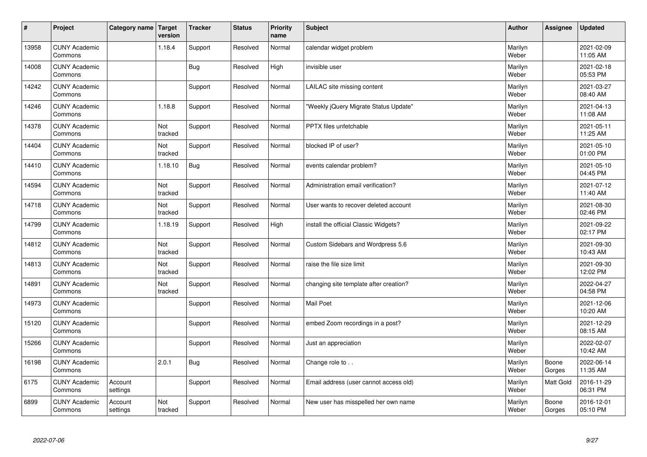| $\sharp$ | Project                         | Category name   Target | version        | <b>Tracker</b> | <b>Status</b> | <b>Priority</b><br>name | <b>Subject</b>                         | <b>Author</b>    | Assignee        | <b>Updated</b>         |
|----------|---------------------------------|------------------------|----------------|----------------|---------------|-------------------------|----------------------------------------|------------------|-----------------|------------------------|
| 13958    | <b>CUNY Academic</b><br>Commons |                        | 1.18.4         | Support        | Resolved      | Normal                  | calendar widget problem                | Marilyn<br>Weber |                 | 2021-02-09<br>11:05 AM |
| 14008    | <b>CUNY Academic</b><br>Commons |                        |                | Bug            | Resolved      | High                    | invisible user                         | Marilyn<br>Weber |                 | 2021-02-18<br>05:53 PM |
| 14242    | <b>CUNY Academic</b><br>Commons |                        |                | Support        | Resolved      | Normal                  | LAILAC site missing content            | Marilyn<br>Weber |                 | 2021-03-27<br>08:40 AM |
| 14246    | <b>CUNY Academic</b><br>Commons |                        | 1.18.8         | Support        | Resolved      | Normal                  | 'Weekly jQuery Migrate Status Update"  | Marilyn<br>Weber |                 | 2021-04-13<br>11:08 AM |
| 14378    | <b>CUNY Academic</b><br>Commons |                        | Not<br>tracked | Support        | Resolved      | Normal                  | PPTX files unfetchable                 | Marilyn<br>Weber |                 | 2021-05-11<br>11:25 AM |
| 14404    | <b>CUNY Academic</b><br>Commons |                        | Not<br>tracked | Support        | Resolved      | Normal                  | blocked IP of user?                    | Marilyn<br>Weber |                 | 2021-05-10<br>01:00 PM |
| 14410    | <b>CUNY Academic</b><br>Commons |                        | 1.18.10        | <b>Bug</b>     | Resolved      | Normal                  | events calendar problem?               | Marilyn<br>Weber |                 | 2021-05-10<br>04:45 PM |
| 14594    | <b>CUNY Academic</b><br>Commons |                        | Not<br>tracked | Support        | Resolved      | Normal                  | Administration email verification?     | Marilyn<br>Weber |                 | 2021-07-12<br>11:40 AM |
| 14718    | <b>CUNY Academic</b><br>Commons |                        | Not<br>tracked | Support        | Resolved      | Normal                  | User wants to recover deleted account  | Marilyn<br>Weber |                 | 2021-08-30<br>02:46 PM |
| 14799    | <b>CUNY Academic</b><br>Commons |                        | 1.18.19        | Support        | Resolved      | High                    | install the official Classic Widgets?  | Marilyn<br>Weber |                 | 2021-09-22<br>02:17 PM |
| 14812    | <b>CUNY Academic</b><br>Commons |                        | Not<br>tracked | Support        | Resolved      | Normal                  | Custom Sidebars and Wordpress 5.6      | Marilyn<br>Weber |                 | 2021-09-30<br>10:43 AM |
| 14813    | <b>CUNY Academic</b><br>Commons |                        | Not<br>tracked | Support        | Resolved      | Normal                  | raise the file size limit              | Marilyn<br>Weber |                 | 2021-09-30<br>12:02 PM |
| 14891    | <b>CUNY Academic</b><br>Commons |                        | Not<br>tracked | Support        | Resolved      | Normal                  | changing site template after creation? | Marilyn<br>Weber |                 | 2022-04-27<br>04:58 PM |
| 14973    | <b>CUNY Academic</b><br>Commons |                        |                | Support        | Resolved      | Normal                  | Mail Poet                              | Marilyn<br>Weber |                 | 2021-12-06<br>10:20 AM |
| 15120    | <b>CUNY Academic</b><br>Commons |                        |                | Support        | Resolved      | Normal                  | embed Zoom recordings in a post?       | Marilyn<br>Weber |                 | 2021-12-29<br>08:15 AM |
| 15266    | <b>CUNY Academic</b><br>Commons |                        |                | Support        | Resolved      | Normal                  | Just an appreciation                   | Marilyn<br>Weber |                 | 2022-02-07<br>10:42 AM |
| 16198    | <b>CUNY Academic</b><br>Commons |                        | 2.0.1          | Bug            | Resolved      | Normal                  | Change role to                         | Marilyn<br>Weber | Boone<br>Gorges | 2022-06-14<br>11:35 AM |
| 6175     | <b>CUNY Academic</b><br>Commons | Account<br>settings    |                | Support        | Resolved      | Normal                  | Email address (user cannot access old) | Marilyn<br>Weber | Matt Gold       | 2016-11-29<br>06:31 PM |
| 6899     | <b>CUNY Academic</b><br>Commons | Account<br>settings    | Not<br>tracked | Support        | Resolved      | Normal                  | New user has misspelled her own name   | Marilyn<br>Weber | Boone<br>Gorges | 2016-12-01<br>05:10 PM |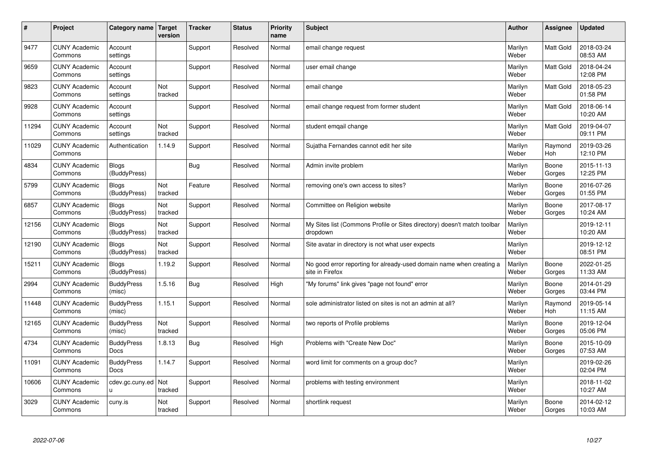| #     | Project                         | Category name   Target       | version               | <b>Tracker</b> | <b>Status</b> | <b>Priority</b><br>name | <b>Subject</b>                                                                          | <b>Author</b>    | Assignee              | <b>Updated</b>         |
|-------|---------------------------------|------------------------------|-----------------------|----------------|---------------|-------------------------|-----------------------------------------------------------------------------------------|------------------|-----------------------|------------------------|
| 9477  | <b>CUNY Academic</b><br>Commons | Account<br>settings          |                       | Support        | Resolved      | Normal                  | email change request                                                                    | Marilyn<br>Weber | <b>Matt Gold</b>      | 2018-03-24<br>08:53 AM |
| 9659  | <b>CUNY Academic</b><br>Commons | Account<br>settings          |                       | Support        | Resolved      | Normal                  | user email change                                                                       | Marilyn<br>Weber | <b>Matt Gold</b>      | 2018-04-24<br>12:08 PM |
| 9823  | <b>CUNY Academic</b><br>Commons | Account<br>settings          | Not<br>tracked        | Support        | Resolved      | Normal                  | email change                                                                            | Marilyn<br>Weber | <b>Matt Gold</b>      | 2018-05-23<br>01:58 PM |
| 9928  | <b>CUNY Academic</b><br>Commons | Account<br>settings          |                       | Support        | Resolved      | Normal                  | email change request from former student                                                | Marilyn<br>Weber | Matt Gold             | 2018-06-14<br>10:20 AM |
| 11294 | <b>CUNY Academic</b><br>Commons | Account<br>settings          | Not<br>tracked        | Support        | Resolved      | Normal                  | student emgail change                                                                   | Marilyn<br>Weber | <b>Matt Gold</b>      | 2019-04-07<br>09:11 PM |
| 11029 | <b>CUNY Academic</b><br>Commons | Authentication               | 1.14.9                | Support        | Resolved      | Normal                  | Sujatha Fernandes cannot edit her site                                                  | Marilyn<br>Weber | Raymond<br>Hoh        | 2019-03-26<br>12:10 PM |
| 4834  | <b>CUNY Academic</b><br>Commons | <b>Blogs</b><br>(BuddyPress) |                       | Bug            | Resolved      | Normal                  | Admin invite problem                                                                    | Marilyn<br>Weber | Boone<br>Gorges       | 2015-11-13<br>12:25 PM |
| 5799  | <b>CUNY Academic</b><br>Commons | <b>Blogs</b><br>(BuddyPress) | Not<br>tracked        | Feature        | Resolved      | Normal                  | removing one's own access to sites?                                                     | Marilyn<br>Weber | Boone<br>Gorges       | 2016-07-26<br>01:55 PM |
| 6857  | <b>CUNY Academic</b><br>Commons | <b>Blogs</b><br>(BuddyPress) | Not<br>tracked        | Support        | Resolved      | Normal                  | Committee on Religion website                                                           | Marilyn<br>Weber | Boone<br>Gorges       | 2017-08-17<br>10:24 AM |
| 12156 | <b>CUNY Academic</b><br>Commons | <b>Blogs</b><br>(BuddyPress) | Not<br>tracked        | Support        | Resolved      | Normal                  | My Sites list (Commons Profile or Sites directory) doesn't match toolbar<br>dropdown    | Marilyn<br>Weber |                       | 2019-12-11<br>10:20 AM |
| 12190 | <b>CUNY Academic</b><br>Commons | <b>Blogs</b><br>(BuddyPress) | Not<br>tracked        | Support        | Resolved      | Normal                  | Site avatar in directory is not what user expects                                       | Marilyn<br>Weber |                       | 2019-12-12<br>08:51 PM |
| 15211 | <b>CUNY Academic</b><br>Commons | <b>Blogs</b><br>(BuddyPress) | 1.19.2                | Support        | Resolved      | Normal                  | No good error reporting for already-used domain name when creating a<br>site in Firefox | Marilyn<br>Weber | Boone<br>Gorges       | 2022-01-25<br>11:33 AM |
| 2994  | <b>CUNY Academic</b><br>Commons | <b>BuddyPress</b><br>(misc)  | 1.5.16                | Bug            | Resolved      | High                    | "My forums" link gives "page not found" error                                           | Marilyn<br>Weber | Boone<br>Gorges       | 2014-01-29<br>03:44 PM |
| 11448 | <b>CUNY Academic</b><br>Commons | <b>BuddyPress</b><br>(misc)  | 1.15.1                | Support        | Resolved      | Normal                  | sole administrator listed on sites is not an admin at all?                              | Marilyn<br>Weber | Raymond<br><b>Hoh</b> | 2019-05-14<br>11:15 AM |
| 12165 | <b>CUNY Academic</b><br>Commons | <b>BuddyPress</b><br>(misc)  | Not<br>tracked        | Support        | Resolved      | Normal                  | two reports of Profile problems                                                         | Marilyn<br>Weber | Boone<br>Gorges       | 2019-12-04<br>05:06 PM |
| 4734  | <b>CUNY Academic</b><br>Commons | <b>BuddyPress</b><br>Docs    | 1.8.13                | Bug            | Resolved      | High                    | Problems with "Create New Doc"                                                          | Marilyn<br>Weber | Boone<br>Gorges       | 2015-10-09<br>07:53 AM |
| 11091 | <b>CUNY Academic</b><br>Commons | <b>BuddyPress</b><br>Docs    | 1.14.7                | Support        | Resolved      | Normal                  | word limit for comments on a group doc?                                                 | Marilyn<br>Weber |                       | 2019-02-26<br>02:04 PM |
| 10606 | <b>CUNY Academic</b><br>Commons | cdev.gc.cuny.ed<br>u.        | <b>Not</b><br>tracked | Support        | Resolved      | Normal                  | problems with testing environment                                                       | Marilyn<br>Weber |                       | 2018-11-02<br>10:27 AM |
| 3029  | <b>CUNY Academic</b><br>Commons | cuny.is                      | Not<br>tracked        | Support        | Resolved      | Normal                  | shortlink request                                                                       | Marilyn<br>Weber | Boone<br>Gorges       | 2014-02-12<br>10:03 AM |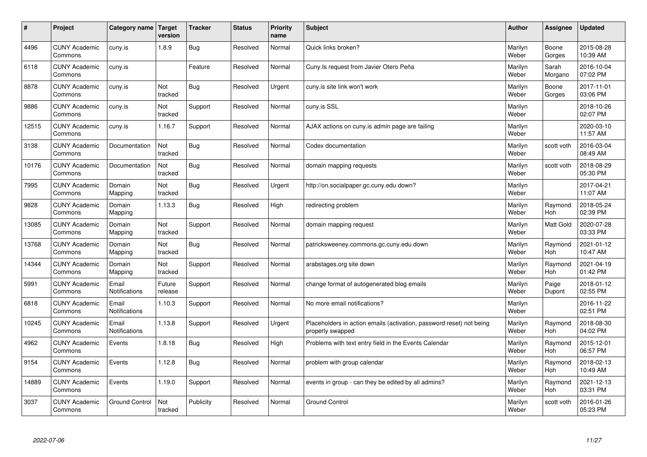| $\vert$ # | Project                         | Category name                 | <b>Target</b><br>version | <b>Tracker</b> | <b>Status</b> | <b>Priority</b><br>name | <b>Subject</b>                                                                           | <b>Author</b>    | <b>Assignee</b>       | <b>Updated</b>         |
|-----------|---------------------------------|-------------------------------|--------------------------|----------------|---------------|-------------------------|------------------------------------------------------------------------------------------|------------------|-----------------------|------------------------|
| 4496      | <b>CUNY Academic</b><br>Commons | cuny.is                       | 1.8.9                    | Bug            | Resolved      | Normal                  | Quick links broken?                                                                      | Marilyn<br>Weber | Boone<br>Gorges       | 2015-08-28<br>10:39 AM |
| 6118      | <b>CUNY Academic</b><br>Commons | cuny.is                       |                          | Feature        | Resolved      | Normal                  | Cuny. Is request from Javier Otero Peña                                                  | Marilyn<br>Weber | Sarah<br>Morgano      | 2016-10-04<br>07:02 PM |
| 8878      | <b>CUNY Academic</b><br>Commons | cuny.is                       | Not<br>tracked           | Bug            | Resolved      | Urgent                  | cuny is site link won't work                                                             | Marilyn<br>Weber | Boone<br>Gorges       | 2017-11-01<br>03:06 PM |
| 9886      | <b>CUNY Academic</b><br>Commons | cuny.is                       | Not<br>tracked           | Support        | Resolved      | Normal                  | cuny.is SSL                                                                              | Marilyn<br>Weber |                       | 2018-10-26<br>02:07 PM |
| 12515     | <b>CUNY Academic</b><br>Commons | cuny.is                       | 1.16.7                   | Support        | Resolved      | Normal                  | AJAX actions on cuny.is admin page are failing                                           | Marilyn<br>Weber |                       | 2020-03-10<br>11:57 AM |
| 3138      | <b>CUNY Academic</b><br>Commons | Documentation                 | Not<br>tracked           | Bug            | Resolved      | Normal                  | Codex documentation                                                                      | Marilyn<br>Weber | scott voth            | 2016-03-04<br>08:49 AM |
| 10176     | <b>CUNY Academic</b><br>Commons | Documentation                 | Not<br>tracked           | <b>Bug</b>     | Resolved      | Normal                  | domain mapping requests                                                                  | Marilyn<br>Weber | scott voth            | 2018-08-29<br>05:30 PM |
| 7995      | <b>CUNY Academic</b><br>Commons | Domain<br>Mapping             | Not<br>tracked           | Bug            | Resolved      | Urgent                  | http://on.socialpaper.gc.cuny.edu down?                                                  | Marilyn<br>Weber |                       | 2017-04-21<br>11:07 AM |
| 9828      | <b>CUNY Academic</b><br>Commons | Domain<br>Mapping             | 1.13.3                   | Bug            | Resolved      | High                    | redirecting problem                                                                      | Marilyn<br>Weber | Raymond<br><b>Hoh</b> | 2018-05-24<br>02:39 PM |
| 13085     | <b>CUNY Academic</b><br>Commons | Domain<br>Mapping             | Not<br>tracked           | Support        | Resolved      | Normal                  | domain mapping request                                                                   | Marilyn<br>Weber | <b>Matt Gold</b>      | 2020-07-28<br>03:33 PM |
| 13768     | <b>CUNY Academic</b><br>Commons | Domain<br>Mapping             | Not<br>tracked           | Bug            | Resolved      | Normal                  | patricksweeney.commons.gc.cuny.edu down                                                  | Marilyn<br>Weber | Raymond<br>Hoh        | 2021-01-12<br>10:47 AM |
| 14344     | <b>CUNY Academic</b><br>Commons | Domain<br>Mapping             | Not<br>tracked           | Support        | Resolved      | Normal                  | arabstages.org site down                                                                 | Marilyn<br>Weber | Raymond<br>Hoh        | 2021-04-19<br>01:42 PM |
| 5991      | <b>CUNY Academic</b><br>Commons | Email<br><b>Notifications</b> | Future<br>release        | Support        | Resolved      | Normal                  | change format of autogenerated blog emails                                               | Marilyn<br>Weber | Paige<br>Dupont       | 2018-01-12<br>02:55 PM |
| 6818      | <b>CUNY Academic</b><br>Commons | Email<br>Notifications        | 1.10.3                   | Support        | Resolved      | Normal                  | No more email notifications?                                                             | Marilyn<br>Weber |                       | 2016-11-22<br>02:51 PM |
| 10245     | <b>CUNY Academic</b><br>Commons | Email<br>Notifications        | 1.13.8                   | Support        | Resolved      | Urgent                  | Placeholders in action emails (activation, password reset) not being<br>properly swapped | Marilyn<br>Weber | Raymond<br><b>Hoh</b> | 2018-08-30<br>04:02 PM |
| 4962      | <b>CUNY Academic</b><br>Commons | Events                        | 1.8.18                   | Bug            | Resolved      | High                    | Problems with text entry field in the Events Calendar                                    | Marilyn<br>Weber | Raymond<br><b>Hoh</b> | 2015-12-01<br>06:57 PM |
| 9154      | <b>CUNY Academic</b><br>Commons | Events                        | 1.12.8                   | Bug            | Resolved      | Normal                  | problem with group calendar                                                              | Marilyn<br>Weber | Raymond<br><b>Hoh</b> | 2018-02-13<br>10:49 AM |
| 14889     | <b>CUNY Academic</b><br>Commons | Events                        | 1.19.0                   | Support        | Resolved      | Normal                  | events in group - can they be edited by all admins?                                      | Marilyn<br>Weber | Raymond<br><b>Hoh</b> | 2021-12-13<br>03:31 PM |
| 3037      | <b>CUNY Academic</b><br>Commons | <b>Ground Control</b>         | Not<br>tracked           | Publicity      | Resolved      | Normal                  | <b>Ground Control</b>                                                                    | Marilyn<br>Weber | scott voth            | 2016-01-26<br>05:23 PM |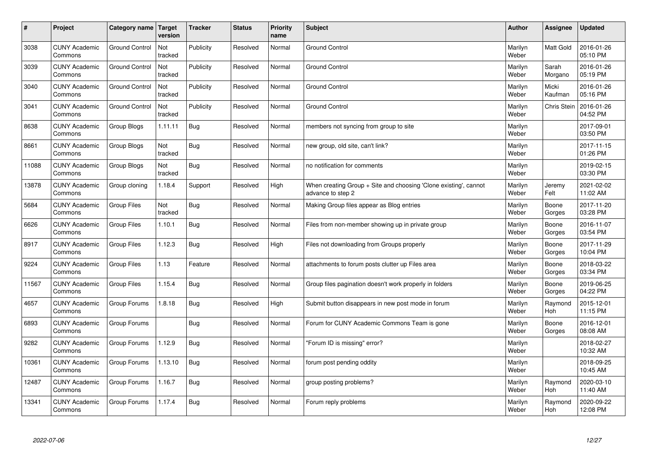| #     | Project                         | Category name         | Target<br>version | <b>Tracker</b> | <b>Status</b> | <b>Priority</b><br>name | <b>Subject</b>                                                                        | <b>Author</b>    | Assignee              | <b>Updated</b>         |
|-------|---------------------------------|-----------------------|-------------------|----------------|---------------|-------------------------|---------------------------------------------------------------------------------------|------------------|-----------------------|------------------------|
| 3038  | <b>CUNY Academic</b><br>Commons | <b>Ground Control</b> | Not<br>tracked    | Publicity      | Resolved      | Normal                  | <b>Ground Control</b>                                                                 | Marilyn<br>Weber | Matt Gold             | 2016-01-26<br>05:10 PM |
| 3039  | <b>CUNY Academic</b><br>Commons | <b>Ground Control</b> | Not<br>tracked    | Publicity      | Resolved      | Normal                  | <b>Ground Control</b>                                                                 | Marilyn<br>Weber | Sarah<br>Morgano      | 2016-01-26<br>05:19 PM |
| 3040  | <b>CUNY Academic</b><br>Commons | <b>Ground Control</b> | Not<br>tracked    | Publicity      | Resolved      | Normal                  | <b>Ground Control</b>                                                                 | Marilyn<br>Weber | Micki<br>Kaufman      | 2016-01-26<br>05:16 PM |
| 3041  | <b>CUNY Academic</b><br>Commons | <b>Ground Control</b> | Not<br>tracked    | Publicity      | Resolved      | Normal                  | <b>Ground Control</b>                                                                 | Marilyn<br>Weber | Chris Stein           | 2016-01-26<br>04:52 PM |
| 8638  | <b>CUNY Academic</b><br>Commons | Group Blogs           | 1.11.11           | <b>Bug</b>     | Resolved      | Normal                  | members not syncing from group to site                                                | Marilyn<br>Weber |                       | 2017-09-01<br>03:50 PM |
| 8661  | <b>CUNY Academic</b><br>Commons | Group Blogs           | Not<br>tracked    | Bug            | Resolved      | Normal                  | new group, old site, can't link?                                                      | Marilyn<br>Weber |                       | 2017-11-15<br>01:26 PM |
| 11088 | <b>CUNY Academic</b><br>Commons | Group Blogs           | Not<br>tracked    | <b>Bug</b>     | Resolved      | Normal                  | no notification for comments                                                          | Marilyn<br>Weber |                       | 2019-02-15<br>03:30 PM |
| 13878 | <b>CUNY Academic</b><br>Commons | Group cloning         | 1.18.4            | Support        | Resolved      | High                    | When creating Group + Site and choosing 'Clone existing', cannot<br>advance to step 2 | Marilyn<br>Weber | Jeremy<br>Felt        | 2021-02-02<br>11:02 AM |
| 5684  | <b>CUNY Academic</b><br>Commons | <b>Group Files</b>    | Not<br>tracked    | Bug            | Resolved      | Normal                  | Making Group files appear as Blog entries                                             | Marilyn<br>Weber | Boone<br>Gorges       | 2017-11-20<br>03:28 PM |
| 6626  | <b>CUNY Academic</b><br>Commons | <b>Group Files</b>    | 1.10.1            | Bug            | Resolved      | Normal                  | Files from non-member showing up in private group                                     | Marilyn<br>Weber | Boone<br>Gorges       | 2016-11-07<br>03:54 PM |
| 8917  | <b>CUNY Academic</b><br>Commons | <b>Group Files</b>    | 1.12.3            | Bug            | Resolved      | High                    | Files not downloading from Groups properly                                            | Marilyn<br>Weber | Boone<br>Gorges       | 2017-11-29<br>10:04 PM |
| 9224  | <b>CUNY Academic</b><br>Commons | <b>Group Files</b>    | 1.13              | Feature        | Resolved      | Normal                  | attachments to forum posts clutter up Files area                                      | Marilyn<br>Weber | Boone<br>Gorges       | 2018-03-22<br>03:34 PM |
| 11567 | <b>CUNY Academic</b><br>Commons | <b>Group Files</b>    | 1.15.4            | Bug            | Resolved      | Normal                  | Group files pagination doesn't work properly in folders                               | Marilyn<br>Weber | Boone<br>Gorges       | 2019-06-25<br>04:22 PM |
| 4657  | <b>CUNY Academic</b><br>Commons | Group Forums          | 1.8.18            | Bug            | Resolved      | High                    | Submit button disappears in new post mode in forum                                    | Marilyn<br>Weber | Raymond<br><b>Hoh</b> | 2015-12-01<br>11:15 PM |
| 6893  | <b>CUNY Academic</b><br>Commons | Group Forums          |                   | Bug            | Resolved      | Normal                  | Forum for CUNY Academic Commons Team is gone                                          | Marilyn<br>Weber | Boone<br>Gorges       | 2016-12-01<br>08:08 AM |
| 9282  | <b>CUNY Academic</b><br>Commons | Group Forums          | 1.12.9            | Bug            | Resolved      | Normal                  | 'Forum ID is missing" error?                                                          | Marilyn<br>Weber |                       | 2018-02-27<br>10:32 AM |
| 10361 | <b>CUNY Academic</b><br>Commons | Group Forums          | 1.13.10           | Bug            | Resolved      | Normal                  | forum post pending oddity                                                             | Marilyn<br>Weber |                       | 2018-09-25<br>10:45 AM |
| 12487 | <b>CUNY Academic</b><br>Commons | Group Forums          | 1.16.7            | Bug            | Resolved      | Normal                  | group posting problems?                                                               | Marilyn<br>Weber | Raymond<br><b>Hoh</b> | 2020-03-10<br>11:40 AM |
| 13341 | <b>CUNY Academic</b><br>Commons | Group Forums          | .17.4             | Bug            | Resolved      | Normal                  | Forum reply problems                                                                  | Marilyn<br>Weber | Raymond<br>Hoh        | 2020-09-22<br>12:08 PM |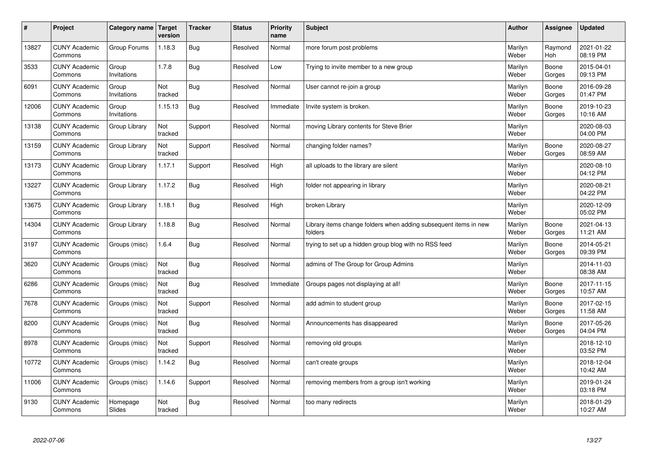| $\sharp$ | Project                         | Category name   Target | version        | <b>Tracker</b> | <b>Status</b> | <b>Priority</b><br>name | <b>Subject</b>                                                              | <b>Author</b>    | Assignee        | <b>Updated</b>         |
|----------|---------------------------------|------------------------|----------------|----------------|---------------|-------------------------|-----------------------------------------------------------------------------|------------------|-----------------|------------------------|
| 13827    | <b>CUNY Academic</b><br>Commons | Group Forums           | 1.18.3         | Bug            | Resolved      | Normal                  | more forum post problems                                                    | Marilyn<br>Weber | Raymond<br>Hoh  | 2021-01-22<br>08:19 PM |
| 3533     | <b>CUNY Academic</b><br>Commons | Group<br>Invitations   | 1.7.8          | Bug            | Resolved      | Low                     | Trying to invite member to a new group                                      | Marilyn<br>Weber | Boone<br>Gorges | 2015-04-01<br>09:13 PM |
| 6091     | <b>CUNY Academic</b><br>Commons | Group<br>Invitations   | Not<br>tracked | Bug            | Resolved      | Normal                  | User cannot re-join a group                                                 | Marilyn<br>Weber | Boone<br>Gorges | 2016-09-28<br>01:47 PM |
| 12006    | <b>CUNY Academic</b><br>Commons | Group<br>Invitations   | 1.15.13        | Bug            | Resolved      | Immediate               | Invite system is broken.                                                    | Marilyn<br>Weber | Boone<br>Gorges | 2019-10-23<br>10:16 AM |
| 13138    | <b>CUNY Academic</b><br>Commons | Group Library          | Not<br>tracked | Support        | Resolved      | Normal                  | moving Library contents for Steve Brier                                     | Marilyn<br>Weber |                 | 2020-08-03<br>04:00 PM |
| 13159    | <b>CUNY Academic</b><br>Commons | Group Library          | Not<br>tracked | Support        | Resolved      | Normal                  | changing folder names?                                                      | Marilyn<br>Weber | Boone<br>Gorges | 2020-08-27<br>08:59 AM |
| 13173    | <b>CUNY Academic</b><br>Commons | Group Library          | 1.17.1         | Support        | Resolved      | High                    | all uploads to the library are silent                                       | Marilyn<br>Weber |                 | 2020-08-10<br>04:12 PM |
| 13227    | <b>CUNY Academic</b><br>Commons | Group Library          | 1.17.2         | Bug            | Resolved      | High                    | folder not appearing in library                                             | Marilyn<br>Weber |                 | 2020-08-21<br>04:22 PM |
| 13675    | <b>CUNY Academic</b><br>Commons | Group Library          | 1.18.1         | Bug            | Resolved      | High                    | broken Library                                                              | Marilyn<br>Weber |                 | 2020-12-09<br>05:02 PM |
| 14304    | <b>CUNY Academic</b><br>Commons | Group Library          | 1.18.8         | Bug            | Resolved      | Normal                  | Library items change folders when adding subsequent items in new<br>folders | Marilyn<br>Weber | Boone<br>Gorges | 2021-04-13<br>11:21 AM |
| 3197     | <b>CUNY Academic</b><br>Commons | Groups (misc)          | 1.6.4          | Bug            | Resolved      | Normal                  | trying to set up a hidden group blog with no RSS feed                       | Marilyn<br>Weber | Boone<br>Gorges | 2014-05-21<br>09:39 PM |
| 3620     | <b>CUNY Academic</b><br>Commons | Groups (misc)          | Not<br>tracked | Bug            | Resolved      | Normal                  | admins of The Group for Group Admins                                        | Marilyn<br>Weber |                 | 2014-11-03<br>08:38 AM |
| 6286     | <b>CUNY Academic</b><br>Commons | Groups (misc)          | Not<br>tracked | Bug            | Resolved      | Immediate               | Groups pages not displaying at all!                                         | Marilyn<br>Weber | Boone<br>Gorges | 2017-11-15<br>10:57 AM |
| 7678     | <b>CUNY Academic</b><br>Commons | Groups (misc)          | Not<br>tracked | Support        | Resolved      | Normal                  | add admin to student group                                                  | Marilyn<br>Weber | Boone<br>Gorges | 2017-02-15<br>11:58 AM |
| 8200     | <b>CUNY Academic</b><br>Commons | Groups (misc)          | Not<br>tracked | <b>Bug</b>     | Resolved      | Normal                  | Announcements has disappeared                                               | Marilyn<br>Weber | Boone<br>Gorges | 2017-05-26<br>04:04 PM |
| 8978     | <b>CUNY Academic</b><br>Commons | Groups (misc)          | Not<br>tracked | Support        | Resolved      | Normal                  | removing old groups                                                         | Marilyn<br>Weber |                 | 2018-12-10<br>03:52 PM |
| 10772    | <b>CUNY Academic</b><br>Commons | Groups (misc)          | 1.14.2         | Bug            | Resolved      | Normal                  | can't create groups                                                         | Marilyn<br>Weber |                 | 2018-12-04<br>10:42 AM |
| 11006    | <b>CUNY Academic</b><br>Commons | Groups (misc)          | 1.14.6         | Support        | Resolved      | Normal                  | removing members from a group isn't working                                 | Marilyn<br>Weber |                 | 2019-01-24<br>03:18 PM |
| 9130     | <b>CUNY Academic</b><br>Commons | Homepage<br>Slides     | Not<br>tracked | Bug            | Resolved      | Normal                  | too many redirects                                                          | Marilyn<br>Weber |                 | 2018-01-29<br>10:27 AM |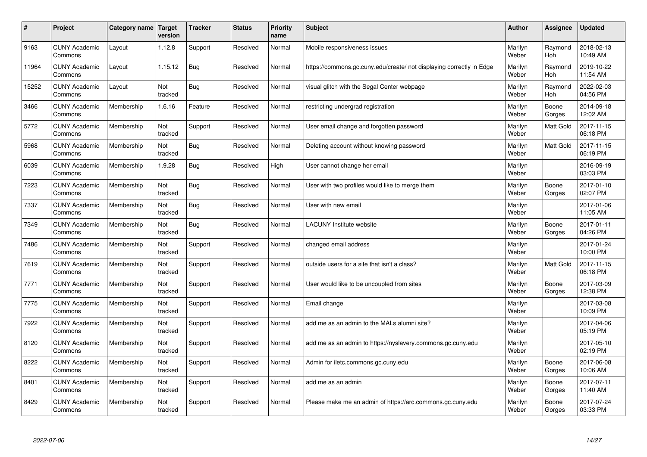| $\pmb{\sharp}$ | Project                         | Category name | <b>Target</b><br>version | <b>Tracker</b> | <b>Status</b> | <b>Priority</b><br>name | <b>Subject</b>                                                       | <b>Author</b>    | Assignee              | <b>Updated</b>         |
|----------------|---------------------------------|---------------|--------------------------|----------------|---------------|-------------------------|----------------------------------------------------------------------|------------------|-----------------------|------------------------|
| 9163           | <b>CUNY Academic</b><br>Commons | Layout        | 1.12.8                   | Support        | Resolved      | Normal                  | Mobile responsiveness issues                                         | Marilyn<br>Weber | Raymond<br><b>Hoh</b> | 2018-02-13<br>10:49 AM |
| 11964          | <b>CUNY Academic</b><br>Commons | Layout        | 1.15.12                  | <b>Bug</b>     | Resolved      | Normal                  | https://commons.gc.cuny.edu/create/ not displaying correctly in Edge | Marilyn<br>Weber | Raymond<br>Hoh        | 2019-10-22<br>11:54 AM |
| 15252          | <b>CUNY Academic</b><br>Commons | Layout        | Not<br>tracked           | Bug            | Resolved      | Normal                  | visual glitch with the Segal Center webpage                          | Marilyn<br>Weber | Raymond<br><b>Hoh</b> | 2022-02-03<br>04:56 PM |
| 3466           | <b>CUNY Academic</b><br>Commons | Membership    | 1.6.16                   | Feature        | Resolved      | Normal                  | restricting undergrad registration                                   | Marilyn<br>Weber | Boone<br>Gorges       | 2014-09-18<br>12:02 AM |
| 5772           | <b>CUNY Academic</b><br>Commons | Membership    | Not<br>tracked           | Support        | Resolved      | Normal                  | User email change and forgotten password                             | Marilyn<br>Weber | <b>Matt Gold</b>      | 2017-11-15<br>06:18 PM |
| 5968           | <b>CUNY Academic</b><br>Commons | Membership    | Not<br>tracked           | Bug            | Resolved      | Normal                  | Deleting account without knowing password                            | Marilyn<br>Weber | <b>Matt Gold</b>      | 2017-11-15<br>06:19 PM |
| 6039           | <b>CUNY Academic</b><br>Commons | Membership    | 1.9.28                   | <b>Bug</b>     | Resolved      | High                    | User cannot change her email                                         | Marilyn<br>Weber |                       | 2016-09-19<br>03:03 PM |
| 7223           | <b>CUNY Academic</b><br>Commons | Membership    | Not<br>tracked           | Bug            | Resolved      | Normal                  | User with two profiles would like to merge them                      | Marilyn<br>Weber | Boone<br>Gorges       | 2017-01-10<br>02:07 PM |
| 7337           | <b>CUNY Academic</b><br>Commons | Membership    | Not<br>tracked           | <b>Bug</b>     | Resolved      | Normal                  | User with new email                                                  | Marilyn<br>Weber |                       | 2017-01-06<br>11:05 AM |
| 7349           | <b>CUNY Academic</b><br>Commons | Membership    | Not<br>tracked           | Bug            | Resolved      | Normal                  | <b>LACUNY Institute website</b>                                      | Marilyn<br>Weber | Boone<br>Gorges       | 2017-01-11<br>04:26 PM |
| 7486           | <b>CUNY Academic</b><br>Commons | Membership    | Not<br>tracked           | Support        | Resolved      | Normal                  | changed email address                                                | Marilyn<br>Weber |                       | 2017-01-24<br>10:00 PM |
| 7619           | <b>CUNY Academic</b><br>Commons | Membership    | Not<br>tracked           | Support        | Resolved      | Normal                  | outside users for a site that isn't a class?                         | Marilyn<br>Weber | Matt Gold             | 2017-11-15<br>06:18 PM |
| 7771           | <b>CUNY Academic</b><br>Commons | Membership    | Not<br>tracked           | Support        | Resolved      | Normal                  | User would like to be uncoupled from sites                           | Marilyn<br>Weber | Boone<br>Gorges       | 2017-03-09<br>12:38 PM |
| 7775           | <b>CUNY Academic</b><br>Commons | Membership    | Not<br>tracked           | Support        | Resolved      | Normal                  | Email change                                                         | Marilyn<br>Weber |                       | 2017-03-08<br>10:09 PM |
| 7922           | <b>CUNY Academic</b><br>Commons | Membership    | Not<br>tracked           | Support        | Resolved      | Normal                  | add me as an admin to the MALs alumni site?                          | Marilyn<br>Weber |                       | 2017-04-06<br>05:19 PM |
| 8120           | <b>CUNY Academic</b><br>Commons | Membership    | Not<br>tracked           | Support        | Resolved      | Normal                  | add me as an admin to https://nyslavery.commons.gc.cuny.edu          | Marilyn<br>Weber |                       | 2017-05-10<br>02:19 PM |
| 8222           | <b>CUNY Academic</b><br>Commons | Membership    | Not<br>tracked           | Support        | Resolved      | Normal                  | Admin for iletc.commons.gc.cuny.edu                                  | Marilyn<br>Weber | Boone<br>Gorges       | 2017-06-08<br>10:06 AM |
| 8401           | <b>CUNY Academic</b><br>Commons | Membership    | Not<br>tracked           | Support        | Resolved      | Normal                  | add me as an admin                                                   | Marilyn<br>Weber | Boone<br>Gorges       | 2017-07-11<br>11:40 AM |
| 8429           | <b>CUNY Academic</b><br>Commons | Membership    | Not<br>tracked           | Support        | Resolved      | Normal                  | Please make me an admin of https://arc.commons.gc.cuny.edu           | Marilyn<br>Weber | Boone<br>Gorges       | 2017-07-24<br>03:33 PM |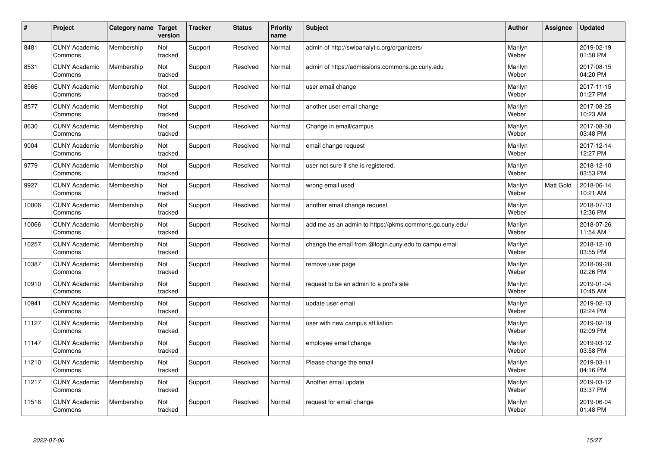| $\pmb{\sharp}$ | Project                         | Category name | Target<br>version | <b>Tracker</b> | <b>Status</b> | <b>Priority</b><br>name | <b>Subject</b>                                          | <b>Author</b>    | Assignee  | <b>Updated</b>         |
|----------------|---------------------------------|---------------|-------------------|----------------|---------------|-------------------------|---------------------------------------------------------|------------------|-----------|------------------------|
| 8481           | <b>CUNY Academic</b><br>Commons | Membership    | Not<br>tracked    | Support        | Resolved      | Normal                  | admin of http://swipanalytic.org/organizers/            | Marilyn<br>Weber |           | 2019-02-19<br>01:58 PM |
| 8531           | <b>CUNY Academic</b><br>Commons | Membership    | Not<br>tracked    | Support        | Resolved      | Normal                  | admin of https://admissions.commons.gc.cuny.edu         | Marilyn<br>Weber |           | 2017-08-15<br>04:20 PM |
| 8566           | <b>CUNY Academic</b><br>Commons | Membership    | Not<br>tracked    | Support        | Resolved      | Normal                  | user email change                                       | Marilyn<br>Weber |           | 2017-11-15<br>01:27 PM |
| 8577           | <b>CUNY Academic</b><br>Commons | Membership    | Not<br>tracked    | Support        | Resolved      | Normal                  | another user email change                               | Marilyn<br>Weber |           | 2017-08-25<br>10:23 AM |
| 8630           | <b>CUNY Academic</b><br>Commons | Membership    | Not<br>tracked    | Support        | Resolved      | Normal                  | Change in email/campus                                  | Marilyn<br>Weber |           | 2017-08-30<br>03:48 PM |
| 9004           | <b>CUNY Academic</b><br>Commons | Membership    | Not<br>tracked    | Support        | Resolved      | Normal                  | email change request                                    | Marilyn<br>Weber |           | 2017-12-14<br>12:27 PM |
| 9779           | <b>CUNY Academic</b><br>Commons | Membership    | Not<br>tracked    | Support        | Resolved      | Normal                  | user not sure if she is registered.                     | Marilyn<br>Weber |           | 2018-12-10<br>03:53 PM |
| 9927           | <b>CUNY Academic</b><br>Commons | Membership    | Not<br>tracked    | Support        | Resolved      | Normal                  | wrong email used                                        | Marilyn<br>Weber | Matt Gold | 2018-06-14<br>10:21 AM |
| 10006          | <b>CUNY Academic</b><br>Commons | Membership    | Not<br>tracked    | Support        | Resolved      | Normal                  | another email change request                            | Marilyn<br>Weber |           | 2018-07-13<br>12:36 PM |
| 10066          | <b>CUNY Academic</b><br>Commons | Membership    | Not<br>tracked    | Support        | Resolved      | Normal                  | add me as an admin to https://pkms.commons.gc.cuny.edu/ | Marilyn<br>Weber |           | 2018-07-26<br>11:54 AM |
| 10257          | <b>CUNY Academic</b><br>Commons | Membership    | Not<br>tracked    | Support        | Resolved      | Normal                  | change the email from @login.cuny.edu to campu email    | Marilyn<br>Weber |           | 2018-12-10<br>03:55 PM |
| 10387          | <b>CUNY Academic</b><br>Commons | Membership    | Not<br>tracked    | Support        | Resolved      | Normal                  | remove user page                                        | Marilyn<br>Weber |           | 2018-09-28<br>02:26 PM |
| 10910          | <b>CUNY Academic</b><br>Commons | Membership    | Not<br>tracked    | Support        | Resolved      | Normal                  | request to be an admin to a prof's site                 | Marilyn<br>Weber |           | 2019-01-04<br>10:45 AM |
| 10941          | <b>CUNY Academic</b><br>Commons | Membership    | Not<br>tracked    | Support        | Resolved      | Normal                  | update user email                                       | Marilyn<br>Weber |           | 2019-02-13<br>02:24 PM |
| 11127          | <b>CUNY Academic</b><br>Commons | Membership    | Not<br>tracked    | Support        | Resolved      | Normal                  | user with new campus affiliation                        | Marilyn<br>Weber |           | 2019-02-19<br>02:09 PM |
| 11147          | <b>CUNY Academic</b><br>Commons | Membership    | Not<br>tracked    | Support        | Resolved      | Normal                  | employee email change                                   | Marilyn<br>Weber |           | 2019-03-12<br>03:58 PM |
| 11210          | <b>CUNY Academic</b><br>Commons | Membership    | Not<br>tracked    | Support        | Resolved      | Normal                  | Please change the email                                 | Marilyn<br>Weber |           | 2019-03-11<br>04:16 PM |
| 11217          | <b>CUNY Academic</b><br>Commons | Membership    | Not<br>tracked    | Support        | Resolved      | Normal                  | Another email update                                    | Marilyn<br>Weber |           | 2019-03-12<br>03:37 PM |
| 11516          | <b>CUNY Academic</b><br>Commons | Membership    | Not<br>tracked    | Support        | Resolved      | Normal                  | request for email change                                | Marilyn<br>Weber |           | 2019-06-04<br>01:48 PM |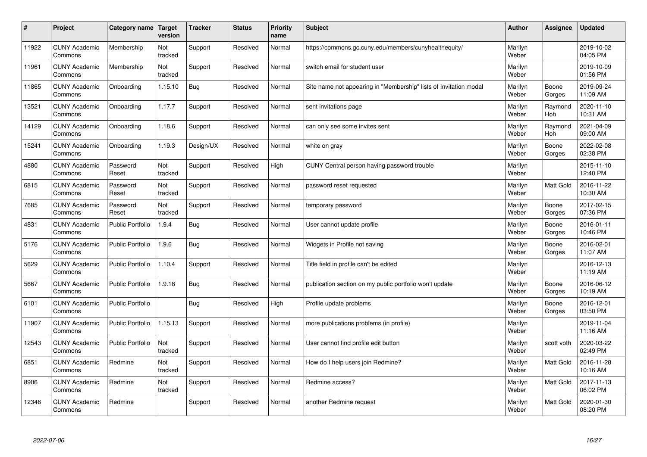| $\pmb{\#}$ | Project                         | <b>Category name</b>    | <b>Target</b><br>version | <b>Tracker</b> | <b>Status</b> | <b>Priority</b><br>name | <b>Subject</b>                                                    | <b>Author</b>    | Assignee              | <b>Updated</b>         |
|------------|---------------------------------|-------------------------|--------------------------|----------------|---------------|-------------------------|-------------------------------------------------------------------|------------------|-----------------------|------------------------|
| 11922      | <b>CUNY Academic</b><br>Commons | Membership              | Not<br>tracked           | Support        | Resolved      | Normal                  | https://commons.gc.cuny.edu/members/cunyhealthequity/             | Marilyn<br>Weber |                       | 2019-10-02<br>04:05 PM |
| 11961      | <b>CUNY Academic</b><br>Commons | Membership              | Not<br>tracked           | Support        | Resolved      | Normal                  | switch email for student user                                     | Marilyn<br>Weber |                       | 2019-10-09<br>01:56 PM |
| 11865      | <b>CUNY Academic</b><br>Commons | Onboarding              | 1.15.10                  | Bug            | Resolved      | Normal                  | Site name not appearing in "Membership" lists of Invitation modal | Marilyn<br>Weber | Boone<br>Gorges       | 2019-09-24<br>11:09 AM |
| 13521      | <b>CUNY Academic</b><br>Commons | Onboarding              | 1.17.7                   | Support        | Resolved      | Normal                  | sent invitations page                                             | Marilyn<br>Weber | Raymond<br><b>Hoh</b> | 2020-11-10<br>10:31 AM |
| 14129      | <b>CUNY Academic</b><br>Commons | Onboarding              | 1.18.6                   | Support        | Resolved      | Normal                  | can only see some invites sent                                    | Marilyn<br>Weber | Raymond<br>Hoh        | 2021-04-09<br>09:00 AM |
| 15241      | <b>CUNY Academic</b><br>Commons | Onboarding              | 1.19.3                   | Design/UX      | Resolved      | Normal                  | white on gray                                                     | Marilyn<br>Weber | Boone<br>Gorges       | 2022-02-08<br>02:38 PM |
| 4880       | <b>CUNY Academic</b><br>Commons | Password<br>Reset       | Not<br>tracked           | Support        | Resolved      | High                    | CUNY Central person having password trouble                       | Marilyn<br>Weber |                       | 2015-11-10<br>12:40 PM |
| 6815       | <b>CUNY Academic</b><br>Commons | Password<br>Reset       | Not<br>tracked           | Support        | Resolved      | Normal                  | password reset requested                                          | Marilyn<br>Weber | <b>Matt Gold</b>      | 2016-11-22<br>10:30 AM |
| 7685       | <b>CUNY Academic</b><br>Commons | Password<br>Reset       | Not<br>tracked           | Support        | Resolved      | Normal                  | temporary password                                                | Marilyn<br>Weber | Boone<br>Gorges       | 2017-02-15<br>07:36 PM |
| 4831       | <b>CUNY Academic</b><br>Commons | <b>Public Portfolio</b> | 1.9.4                    | Bug            | Resolved      | Normal                  | User cannot update profile                                        | Marilyn<br>Weber | Boone<br>Gorges       | 2016-01-11<br>10:46 PM |
| 5176       | <b>CUNY Academic</b><br>Commons | Public Portfolio        | 1.9.6                    | <b>Bug</b>     | Resolved      | Normal                  | Widgets in Profile not saving                                     | Marilyn<br>Weber | Boone<br>Gorges       | 2016-02-01<br>11:07 AM |
| 5629       | <b>CUNY Academic</b><br>Commons | <b>Public Portfolio</b> | 1.10.4                   | Support        | Resolved      | Normal                  | Title field in profile can't be edited                            | Marilyn<br>Weber |                       | 2016-12-13<br>11:19 AM |
| 5667       | <b>CUNY Academic</b><br>Commons | <b>Public Portfolio</b> | 1.9.18                   | Bug            | Resolved      | Normal                  | publication section on my public portfolio won't update           | Marilyn<br>Weber | Boone<br>Gorges       | 2016-06-12<br>10:19 AM |
| 6101       | <b>CUNY Academic</b><br>Commons | <b>Public Portfolio</b> |                          | Bug            | Resolved      | High                    | Profile update problems                                           | Marilyn<br>Weber | Boone<br>Gorges       | 2016-12-01<br>03:50 PM |
| 11907      | <b>CUNY Academic</b><br>Commons | <b>Public Portfolio</b> | 1.15.13                  | Support        | Resolved      | Normal                  | more publications problems (in profile)                           | Marilyn<br>Weber |                       | 2019-11-04<br>11:16 AM |
| 12543      | <b>CUNY Academic</b><br>Commons | <b>Public Portfolio</b> | Not<br>tracked           | Support        | Resolved      | Normal                  | User cannot find profile edit button                              | Marilyn<br>Weber | scott voth            | 2020-03-22<br>02:49 PM |
| 6851       | <b>CUNY Academic</b><br>Commons | Redmine                 | Not<br>tracked           | Support        | Resolved      | Normal                  | How do I help users join Redmine?                                 | Marilyn<br>Weber | Matt Gold             | 2016-11-28<br>10:16 AM |
| 8906       | <b>CUNY Academic</b><br>Commons | Redmine                 | Not<br>tracked           | Support        | Resolved      | Normal                  | Redmine access?                                                   | Marilyn<br>Weber | Matt Gold             | 2017-11-13<br>06:02 PM |
| 12346      | <b>CUNY Academic</b><br>Commons | Redmine                 |                          | Support        | Resolved      | Normal                  | another Redmine request                                           | Marilyn<br>Weber | <b>Matt Gold</b>      | 2020-01-30<br>08:20 PM |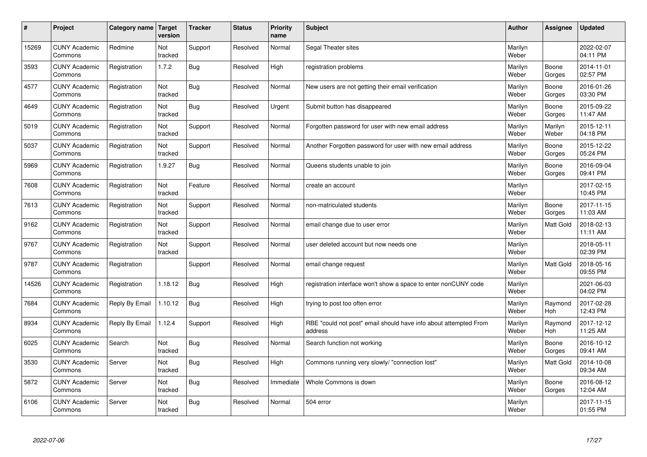| $\pmb{\sharp}$ | Project                         | Category name  | Target<br>version | <b>Tracker</b> | <b>Status</b> | <b>Priority</b><br>name | <b>Subject</b>                                                              | <b>Author</b>    | <b>Assignee</b>       | <b>Updated</b>         |
|----------------|---------------------------------|----------------|-------------------|----------------|---------------|-------------------------|-----------------------------------------------------------------------------|------------------|-----------------------|------------------------|
| 15269          | <b>CUNY Academic</b><br>Commons | Redmine        | Not<br>tracked    | Support        | Resolved      | Normal                  | Segal Theater sites                                                         | Marilyn<br>Weber |                       | 2022-02-07<br>04:11 PM |
| 3593           | <b>CUNY Academic</b><br>Commons | Registration   | 1.7.2             | Bug            | Resolved      | High                    | registration problems                                                       | Marilyn<br>Weber | Boone<br>Gorges       | 2014-11-01<br>02:57 PM |
| 4577           | <b>CUNY Academic</b><br>Commons | Registration   | Not<br>tracked    | <b>Bug</b>     | Resolved      | Normal                  | New users are not getting their email verification                          | Marilyn<br>Weber | Boone<br>Gorges       | 2016-01-26<br>03:30 PM |
| 4649           | <b>CUNY Academic</b><br>Commons | Registration   | Not<br>tracked    | <b>Bug</b>     | Resolved      | Urgent                  | Submit button has disappeared                                               | Marilyn<br>Weber | Boone<br>Gorges       | 2015-09-22<br>11:47 AM |
| 5019           | <b>CUNY Academic</b><br>Commons | Registration   | Not<br>tracked    | Support        | Resolved      | Normal                  | Forgotten password for user with new email address                          | Marilyn<br>Weber | Marilyn<br>Weber      | 2015-12-11<br>04:18 PM |
| 5037           | <b>CUNY Academic</b><br>Commons | Registration   | Not<br>tracked    | Support        | Resolved      | Normal                  | Another Forgotten password for user with new email address                  | Marilyn<br>Weber | Boone<br>Gorges       | 2015-12-22<br>05:24 PM |
| 5969           | <b>CUNY Academic</b><br>Commons | Registration   | 1.9.27            | <b>Bug</b>     | Resolved      | Normal                  | Queens students unable to join                                              | Marilyn<br>Weber | Boone<br>Gorges       | 2016-09-04<br>09:41 PM |
| 7608           | <b>CUNY Academic</b><br>Commons | Registration   | Not<br>tracked    | Feature        | Resolved      | Normal                  | create an account                                                           | Marilyn<br>Weber |                       | 2017-02-15<br>10:45 PM |
| 7613           | <b>CUNY Academic</b><br>Commons | Registration   | Not<br>tracked    | Support        | Resolved      | Normal                  | non-matriculated students                                                   | Marilyn<br>Weber | Boone<br>Gorges       | 2017-11-15<br>11:03 AM |
| 9162           | <b>CUNY Academic</b><br>Commons | Registration   | Not<br>tracked    | Support        | Resolved      | Normal                  | email change due to user error                                              | Marilyn<br>Weber | <b>Matt Gold</b>      | 2018-02-13<br>11:11 AM |
| 9767           | <b>CUNY Academic</b><br>Commons | Registration   | Not<br>tracked    | Support        | Resolved      | Normal                  | user deleted account but now needs one                                      | Marilyn<br>Weber |                       | 2018-05-11<br>02:39 PM |
| 9787           | <b>CUNY Academic</b><br>Commons | Registration   |                   | Support        | Resolved      | Normal                  | email change request                                                        | Marilyn<br>Weber | <b>Matt Gold</b>      | 2018-05-16<br>09:55 PM |
| 14526          | <b>CUNY Academic</b><br>Commons | Registration   | 1.18.12           | <b>Bug</b>     | Resolved      | High                    | registration interface won't show a space to enter nonCUNY code             | Marilyn<br>Weber |                       | 2021-06-03<br>04:02 PM |
| 7684           | <b>CUNY Academic</b><br>Commons | Reply By Email | 1.10.12           | Bug            | Resolved      | High                    | trying to post too often error                                              | Marilyn<br>Weber | Raymond<br><b>Hoh</b> | 2017-02-28<br>12:43 PM |
| 8934           | <b>CUNY Academic</b><br>Commons | Reply By Email | 1.12.4            | Support        | Resolved      | High                    | RBE "could not post" email should have info about attempted From<br>address | Marilyn<br>Weber | Raymond<br>Hoh        | 2017-12-12<br>11:25 AM |
| 6025           | <b>CUNY Academic</b><br>Commons | Search         | Not<br>tracked    | Bug            | Resolved      | Normal                  | Search function not working                                                 | Marilyn<br>Weber | Boone<br>Gorges       | 2016-10-12<br>09:41 AM |
| 3530           | <b>CUNY Academic</b><br>Commons | Server         | Not<br>tracked    | <b>Bug</b>     | Resolved      | High                    | Commons running very slowly/ "connection lost"                              | Marilyn<br>Weber | Matt Gold             | 2014-10-08<br>09:34 AM |
| 5872           | <b>CUNY Academic</b><br>Commons | Server         | Not<br>tracked    | Bug            | Resolved      | Immediate               | Whole Commons is down                                                       | Marilyn<br>Weber | Boone<br>Gorges       | 2016-08-12<br>12:04 AM |
| 6106           | <b>CUNY Academic</b><br>Commons | Server         | Not<br>tracked    | Bug            | Resolved      | Normal                  | 504 error                                                                   | Marilyn<br>Weber |                       | 2017-11-15<br>01:55 PM |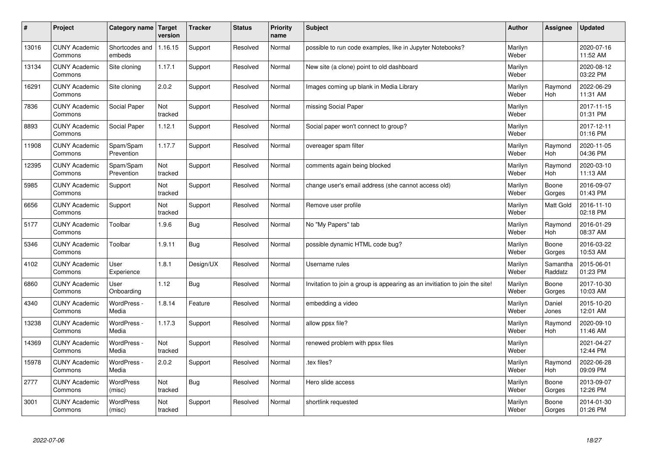| $\pmb{\#}$ | Project                         | Category name              | Target<br>version | <b>Tracker</b> | <b>Status</b> | <b>Priority</b><br>name | <b>Subject</b>                                                              | <b>Author</b>    | <b>Assignee</b>       | <b>Updated</b>         |
|------------|---------------------------------|----------------------------|-------------------|----------------|---------------|-------------------------|-----------------------------------------------------------------------------|------------------|-----------------------|------------------------|
| 13016      | <b>CUNY Academic</b><br>Commons | Shortcodes and<br>embeds   | 1.16.15           | Support        | Resolved      | Normal                  | possible to run code examples, like in Jupyter Notebooks?                   | Marilyn<br>Weber |                       | 2020-07-16<br>11:52 AM |
| 13134      | <b>CUNY Academic</b><br>Commons | Site cloning               | 1.17.1            | Support        | Resolved      | Normal                  | New site (a clone) point to old dashboard                                   | Marilyn<br>Weber |                       | 2020-08-12<br>03:22 PM |
| 16291      | <b>CUNY Academic</b><br>Commons | Site cloning               | 2.0.2             | Support        | Resolved      | Normal                  | Images coming up blank in Media Library                                     | Marilyn<br>Weber | Raymond<br>Hoh        | 2022-06-29<br>11:31 AM |
| 7836       | <b>CUNY Academic</b><br>Commons | Social Paper               | Not<br>tracked    | Support        | Resolved      | Normal                  | missing Social Paper                                                        | Marilyn<br>Weber |                       | 2017-11-15<br>01:31 PM |
| 8893       | <b>CUNY Academic</b><br>Commons | Social Paper               | 1.12.1            | Support        | Resolved      | Normal                  | Social paper won't connect to group?                                        | Marilyn<br>Weber |                       | 2017-12-11<br>01:16 PM |
| 11908      | <b>CUNY Academic</b><br>Commons | Spam/Spam<br>Prevention    | 1.17.7            | Support        | Resolved      | Normal                  | overeager spam filter                                                       | Marilyn<br>Weber | Raymond<br><b>Hoh</b> | 2020-11-05<br>04:36 PM |
| 12395      | <b>CUNY Academic</b><br>Commons | Spam/Spam<br>Prevention    | Not<br>tracked    | Support        | Resolved      | Normal                  | comments again being blocked                                                | Marilyn<br>Weber | Raymond<br>Hoh        | 2020-03-10<br>11:13 AM |
| 5985       | <b>CUNY Academic</b><br>Commons | Support                    | Not<br>tracked    | Support        | Resolved      | Normal                  | change user's email address (she cannot access old)                         | Marilyn<br>Weber | Boone<br>Gorges       | 2016-09-07<br>01:43 PM |
| 6656       | <b>CUNY Academic</b><br>Commons | Support                    | Not<br>tracked    | Support        | Resolved      | Normal                  | Remove user profile                                                         | Marilyn<br>Weber | <b>Matt Gold</b>      | 2016-11-10<br>02:18 PM |
| 5177       | <b>CUNY Academic</b><br>Commons | Toolbar                    | 1.9.6             | <b>Bug</b>     | Resolved      | Normal                  | No "My Papers" tab                                                          | Marilyn<br>Weber | Raymond<br>Hoh        | 2016-01-29<br>08:37 AM |
| 5346       | <b>CUNY Academic</b><br>Commons | Toolbar                    | 1.9.11            | <b>Bug</b>     | Resolved      | Normal                  | possible dynamic HTML code bug?                                             | Marilyn<br>Weber | Boone<br>Gorges       | 2016-03-22<br>10:53 AM |
| 4102       | <b>CUNY Academic</b><br>Commons | User<br>Experience         | 1.8.1             | Design/UX      | Resolved      | Normal                  | Username rules                                                              | Marilyn<br>Weber | Samantha<br>Raddatz   | 2015-06-01<br>01:23 PM |
| 6860       | <b>CUNY Academic</b><br>Commons | User<br>Onboarding         | 1.12              | <b>Bug</b>     | Resolved      | Normal                  | Invitation to join a group is appearing as an invitiation to join the site! | Marilyn<br>Weber | Boone<br>Gorges       | 2017-10-30<br>10:03 AM |
| 4340       | <b>CUNY Academic</b><br>Commons | WordPress -<br>Media       | 1.8.14            | Feature        | Resolved      | Normal                  | embedding a video                                                           | Marilyn<br>Weber | Daniel<br>Jones       | 2015-10-20<br>12:01 AM |
| 13238      | <b>CUNY Academic</b><br>Commons | WordPress -<br>Media       | 1.17.3            | Support        | Resolved      | Normal                  | allow ppsx file?                                                            | Marilyn<br>Weber | Raymond<br>Hoh        | 2020-09-10<br>11:46 AM |
| 14369      | <b>CUNY Academic</b><br>Commons | WordPress -<br>Media       | Not<br>tracked    | Support        | Resolved      | Normal                  | renewed problem with ppsx files                                             | Marilyn<br>Weber |                       | 2021-04-27<br>12:44 PM |
| 15978      | <b>CUNY Academic</b><br>Commons | WordPress -<br>Media       | 2.0.2             | Support        | Resolved      | Normal                  | tex files?                                                                  | Marilyn<br>Weber | Raymond<br><b>Hoh</b> | 2022-06-28<br>09:09 PM |
| 2777       | <b>CUNY Academic</b><br>Commons | WordPress<br>(misc)        | Not<br>tracked    | <b>Bug</b>     | Resolved      | Normal                  | Hero slide access                                                           | Marilyn<br>Weber | Boone<br>Gorges       | 2013-09-07<br>12:26 PM |
| 3001       | <b>CUNY Academic</b><br>Commons | <b>WordPress</b><br>(misc) | Not<br>tracked    | Support        | Resolved      | Normal                  | shortlink requested                                                         | Marilyn<br>Weber | Boone<br>Gorges       | 2014-01-30<br>01:26 PM |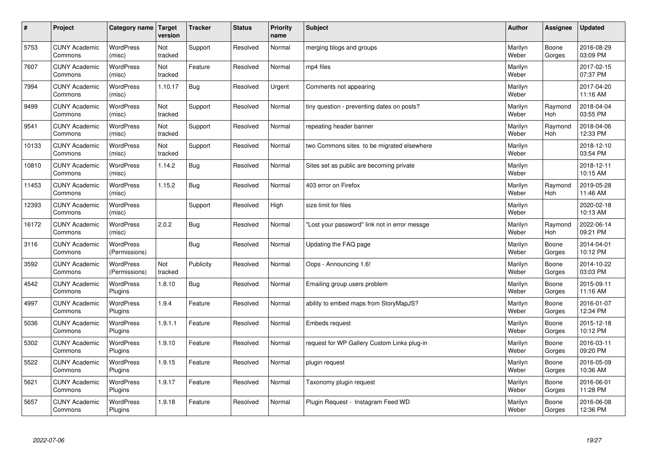| $\sharp$ | Project                         | Category name   Target            | version        | <b>Tracker</b> | <b>Status</b> | <b>Priority</b><br>name | <b>Subject</b>                                | <b>Author</b>    | Assignee              | <b>Updated</b>         |
|----------|---------------------------------|-----------------------------------|----------------|----------------|---------------|-------------------------|-----------------------------------------------|------------------|-----------------------|------------------------|
| 5753     | <b>CUNY Academic</b><br>Commons | <b>WordPress</b><br>(misc)        | Not<br>tracked | Support        | Resolved      | Normal                  | merging blogs and groups                      | Marilyn<br>Weber | Boone<br>Gorges       | 2016-08-29<br>03:09 PM |
| 7607     | <b>CUNY Academic</b><br>Commons | <b>WordPress</b><br>(misc)        | Not<br>tracked | Feature        | Resolved      | Normal                  | mp4 files                                     | Marilyn<br>Weber |                       | 2017-02-15<br>07:37 PM |
| 7994     | <b>CUNY Academic</b><br>Commons | <b>WordPress</b><br>(misc)        | 1.10.17        | Bug            | Resolved      | Urgent                  | Comments not appearing                        | Marilyn<br>Weber |                       | 2017-04-20<br>11:16 AM |
| 9499     | <b>CUNY Academic</b><br>Commons | <b>WordPress</b><br>(misc)        | Not<br>tracked | Support        | Resolved      | Normal                  | tiny question - preventing dates on posts?    | Marilyn<br>Weber | Raymond<br><b>Hoh</b> | 2018-04-04<br>03:55 PM |
| 9541     | <b>CUNY Academic</b><br>Commons | <b>WordPress</b><br>(misc)        | Not<br>tracked | Support        | Resolved      | Normal                  | repeating header banner                       | Marilyn<br>Weber | Raymond<br>Hoh        | 2018-04-06<br>12:33 PM |
| 10133    | <b>CUNY Academic</b><br>Commons | WordPress<br>(misc)               | Not<br>tracked | Support        | Resolved      | Normal                  | two Commons sites to be migrated elsewhere    | Marilyn<br>Weber |                       | 2018-12-10<br>03:54 PM |
| 10810    | <b>CUNY Academic</b><br>Commons | <b>WordPress</b><br>(misc)        | 1.14.2         | <b>Bug</b>     | Resolved      | Normal                  | Sites set as public are becoming private      | Marilyn<br>Weber |                       | 2018-12-11<br>10:15 AM |
| 11453    | <b>CUNY Academic</b><br>Commons | <b>WordPress</b><br>(misc)        | 1.15.2         | Bug            | Resolved      | Normal                  | 403 error on Firefox                          | Marilyn<br>Weber | Raymond<br>Hoh        | 2019-05-28<br>11:46 AM |
| 12393    | <b>CUNY Academic</b><br>Commons | <b>WordPress</b><br>(misc)        |                | Support        | Resolved      | High                    | size limit for files                          | Marilyn<br>Weber |                       | 2020-02-18<br>10:13 AM |
| 16172    | <b>CUNY Academic</b><br>Commons | WordPress<br>(misc)               | 2.0.2          | Bug            | Resolved      | Normal                  | 'Lost your password" link not in error messge | Marilyn<br>Weber | Raymond<br>Hoh        | 2022-06-14<br>09:21 PM |
| 3116     | <b>CUNY Academic</b><br>Commons | WordPress<br>(Permissions)        |                | <b>Bug</b>     | Resolved      | Normal                  | Updating the FAQ page                         | Marilyn<br>Weber | Boone<br>Gorges       | 2014-04-01<br>10:12 PM |
| 3592     | <b>CUNY Academic</b><br>Commons | <b>WordPress</b><br>(Permissions) | Not<br>tracked | Publicity      | Resolved      | Normal                  | Oops - Announcing 1.6!                        | Marilyn<br>Weber | Boone<br>Gorges       | 2014-10-22<br>03:03 PM |
| 4542     | <b>CUNY Academic</b><br>Commons | <b>WordPress</b><br>Plugins       | 1.8.10         | <b>Bug</b>     | Resolved      | Normal                  | Emailing group users problem                  | Marilyn<br>Weber | Boone<br>Gorges       | 2015-09-11<br>11:16 AM |
| 4997     | <b>CUNY Academic</b><br>Commons | WordPress<br>Plugins              | 1.9.4          | Feature        | Resolved      | Normal                  | ability to embed maps from StoryMapJS?        | Marilyn<br>Weber | Boone<br>Gorges       | 2016-01-07<br>12:34 PM |
| 5036     | <b>CUNY Academic</b><br>Commons | <b>WordPress</b><br>Plugins       | 1.9.1.1        | Feature        | Resolved      | Normal                  | <b>Embeds request</b>                         | Marilyn<br>Weber | Boone<br>Gorges       | 2015-12-18<br>10:12 PM |
| 5302     | <b>CUNY Academic</b><br>Commons | <b>WordPress</b><br>Plugins       | 1.9.10         | Feature        | Resolved      | Normal                  | request for WP Gallery Custom Links plug-in   | Marilyn<br>Weber | Boone<br>Gorges       | 2016-03-11<br>09:20 PM |
| 5522     | <b>CUNY Academic</b><br>Commons | WordPress<br>Plugins              | 1.9.15         | Feature        | Resolved      | Normal                  | plugin request                                | Marilyn<br>Weber | Boone<br>Gorges       | 2016-05-09<br>10:36 AM |
| 5621     | <b>CUNY Academic</b><br>Commons | WordPress<br>Plugins              | 1.9.17         | Feature        | Resolved      | Normal                  | Taxonomy plugin request                       | Marilyn<br>Weber | Boone<br>Gorges       | 2016-06-01<br>11:28 PM |
| 5657     | <b>CUNY Academic</b><br>Commons | WordPress<br>Plugins              | 1.9.18         | Feature        | Resolved      | Normal                  | Plugin Request - Instagram Feed WD            | Marilyn<br>Weber | Boone<br>Gorges       | 2016-06-08<br>12:36 PM |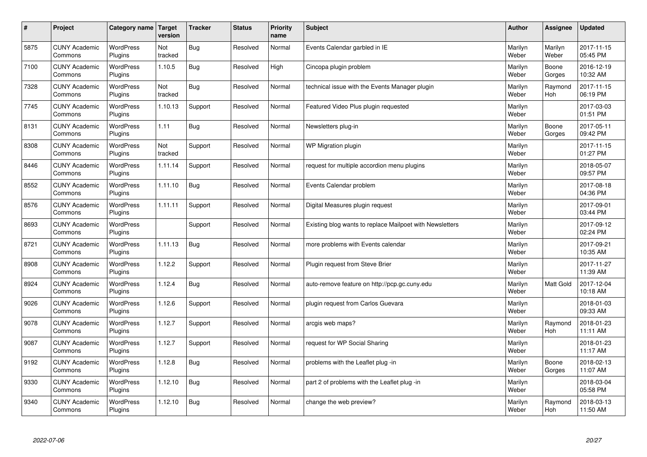| #    | Project                         | Category name               | Target<br>version | <b>Tracker</b> | <b>Status</b> | <b>Priority</b><br>name | <b>Subject</b>                                           | <b>Author</b>    | <b>Assignee</b>       | <b>Updated</b>         |
|------|---------------------------------|-----------------------------|-------------------|----------------|---------------|-------------------------|----------------------------------------------------------|------------------|-----------------------|------------------------|
| 5875 | <b>CUNY Academic</b><br>Commons | <b>WordPress</b><br>Plugins | Not<br>tracked    | Bug            | Resolved      | Normal                  | Events Calendar garbled in IE                            | Marilyn<br>Weber | Marilyn<br>Weber      | 2017-11-15<br>05:45 PM |
| 7100 | <b>CUNY Academic</b><br>Commons | <b>WordPress</b><br>Plugins | 1.10.5            | <b>Bug</b>     | Resolved      | High                    | Cincopa plugin problem                                   | Marilyn<br>Weber | Boone<br>Gorges       | 2016-12-19<br>10:32 AM |
| 7328 | <b>CUNY Academic</b><br>Commons | <b>WordPress</b><br>Plugins | Not<br>tracked    | Bug            | Resolved      | Normal                  | technical issue with the Events Manager plugin           | Marilyn<br>Weber | Raymond<br><b>Hoh</b> | 2017-11-15<br>06:19 PM |
| 7745 | <b>CUNY Academic</b><br>Commons | <b>WordPress</b><br>Plugins | 1.10.13           | Support        | Resolved      | Normal                  | Featured Video Plus plugin requested                     | Marilyn<br>Weber |                       | 2017-03-03<br>01:51 PM |
| 8131 | <b>CUNY Academic</b><br>Commons | <b>WordPress</b><br>Plugins | 1.11              | Bug            | Resolved      | Normal                  | Newsletters plug-in                                      | Marilyn<br>Weber | Boone<br>Gorges       | 2017-05-11<br>09:42 PM |
| 8308 | <b>CUNY Academic</b><br>Commons | <b>WordPress</b><br>Plugins | Not<br>tracked    | Support        | Resolved      | Normal                  | <b>WP Migration plugin</b>                               | Marilyn<br>Weber |                       | 2017-11-15<br>01:27 PM |
| 8446 | <b>CUNY Academic</b><br>Commons | <b>WordPress</b><br>Plugins | 1.11.14           | Support        | Resolved      | Normal                  | request for multiple accordion menu plugins              | Marilyn<br>Weber |                       | 2018-05-07<br>09:57 PM |
| 8552 | <b>CUNY Academic</b><br>Commons | WordPress<br>Plugins        | 1.11.10           | Bug            | Resolved      | Normal                  | Events Calendar problem                                  | Marilyn<br>Weber |                       | 2017-08-18<br>04:36 PM |
| 8576 | <b>CUNY Academic</b><br>Commons | <b>WordPress</b><br>Plugins | 1.11.11           | Support        | Resolved      | Normal                  | Digital Measures plugin request                          | Marilyn<br>Weber |                       | 2017-09-01<br>03:44 PM |
| 8693 | <b>CUNY Academic</b><br>Commons | <b>WordPress</b><br>Plugins |                   | Support        | Resolved      | Normal                  | Existing blog wants to replace Mailpoet with Newsletters | Marilyn<br>Weber |                       | 2017-09-12<br>02:24 PM |
| 8721 | <b>CUNY Academic</b><br>Commons | <b>WordPress</b><br>Plugins | 1.11.13           | Bug            | Resolved      | Normal                  | more problems with Events calendar                       | Marilyn<br>Weber |                       | 2017-09-21<br>10:35 AM |
| 8908 | <b>CUNY Academic</b><br>Commons | <b>WordPress</b><br>Plugins | 1.12.2            | Support        | Resolved      | Normal                  | Plugin request from Steve Brier                          | Marilyn<br>Weber |                       | 2017-11-27<br>11:39 AM |
| 8924 | <b>CUNY Academic</b><br>Commons | <b>WordPress</b><br>Plugins | 1.12.4            | Bug            | Resolved      | Normal                  | auto-remove feature on http://pcp.gc.cuny.edu            | Marilyn<br>Weber | <b>Matt Gold</b>      | 2017-12-04<br>10:18 AM |
| 9026 | <b>CUNY Academic</b><br>Commons | WordPress<br>Plugins        | 1.12.6            | Support        | Resolved      | Normal                  | plugin request from Carlos Guevara                       | Marilyn<br>Weber |                       | 2018-01-03<br>09:33 AM |
| 9078 | <b>CUNY Academic</b><br>Commons | <b>WordPress</b><br>Plugins | 1.12.7            | Support        | Resolved      | Normal                  | arcgis web maps?                                         | Marilyn<br>Weber | Raymond<br>Hoh        | 2018-01-23<br>11:11 AM |
| 9087 | <b>CUNY Academic</b><br>Commons | WordPress<br>Plugins        | 1.12.7            | Support        | Resolved      | Normal                  | request for WP Social Sharing                            | Marilyn<br>Weber |                       | 2018-01-23<br>11:17 AM |
| 9192 | <b>CUNY Academic</b><br>Commons | WordPress<br>Plugins        | 1.12.8            | Bug            | Resolved      | Normal                  | problems with the Leaflet plug -in                       | Marilyn<br>Weber | Boone<br>Gorges       | 2018-02-13<br>11:07 AM |
| 9330 | <b>CUNY Academic</b><br>Commons | WordPress<br>Plugins        | 1.12.10           | <b>Bug</b>     | Resolved      | Normal                  | part 2 of problems with the Leaflet plug -in             | Marilyn<br>Weber |                       | 2018-03-04<br>05:58 PM |
| 9340 | <b>CUNY Academic</b><br>Commons | WordPress<br>Plugins        | 1.12.10           | Bug            | Resolved      | Normal                  | change the web preview?                                  | Marilyn<br>Weber | Raymond<br>Hoh        | 2018-03-13<br>11:50 AM |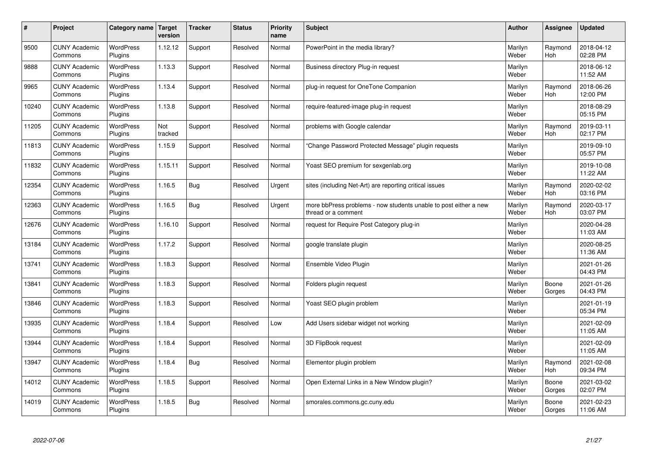| $\vert$ # | Project                         | Category name               | Target<br>version | <b>Tracker</b> | <b>Status</b> | <b>Priority</b><br>name | <b>Subject</b>                                                                          | <b>Author</b>    | Assignee              | <b>Updated</b>         |
|-----------|---------------------------------|-----------------------------|-------------------|----------------|---------------|-------------------------|-----------------------------------------------------------------------------------------|------------------|-----------------------|------------------------|
| 9500      | <b>CUNY Academic</b><br>Commons | <b>WordPress</b><br>Plugins | 1.12.12           | Support        | Resolved      | Normal                  | PowerPoint in the media library?                                                        | Marilyn<br>Weber | Raymond<br><b>Hoh</b> | 2018-04-12<br>02:28 PM |
| 9888      | <b>CUNY Academic</b><br>Commons | <b>WordPress</b><br>Plugins | 1.13.3            | Support        | Resolved      | Normal                  | Business directory Plug-in request                                                      | Marilyn<br>Weber |                       | 2018-06-12<br>11:52 AM |
| 9965      | <b>CUNY Academic</b><br>Commons | WordPress<br>Plugins        | 1.13.4            | Support        | Resolved      | Normal                  | plug-in request for OneTone Companion                                                   | Marilyn<br>Weber | Raymond<br><b>Hoh</b> | 2018-06-26<br>12:00 PM |
| 10240     | <b>CUNY Academic</b><br>Commons | <b>WordPress</b><br>Plugins | 1.13.8            | Support        | Resolved      | Normal                  | require-featured-image plug-in request                                                  | Marilyn<br>Weber |                       | 2018-08-29<br>05:15 PM |
| 11205     | <b>CUNY Academic</b><br>Commons | <b>WordPress</b><br>Plugins | Not<br>tracked    | Support        | Resolved      | Normal                  | problems with Google calendar                                                           | Marilyn<br>Weber | Raymond<br>Hoh        | 2019-03-11<br>02:17 PM |
| 11813     | <b>CUNY Academic</b><br>Commons | <b>WordPress</b><br>Plugins | 1.15.9            | Support        | Resolved      | Normal                  | 'Change Password Protected Message" plugin requests                                     | Marilyn<br>Weber |                       | 2019-09-10<br>05:57 PM |
| 11832     | <b>CUNY Academic</b><br>Commons | <b>WordPress</b><br>Plugins | 1.15.11           | Support        | Resolved      | Normal                  | Yoast SEO premium for sexgenlab.org                                                     | Marilyn<br>Weber |                       | 2019-10-08<br>11:22 AM |
| 12354     | <b>CUNY Academic</b><br>Commons | WordPress<br>Plugins        | 1.16.5            | <b>Bug</b>     | Resolved      | Urgent                  | sites (including Net-Art) are reporting critical issues                                 | Marilyn<br>Weber | Raymond<br>Hoh        | 2020-02-02<br>03:16 PM |
| 12363     | <b>CUNY Academic</b><br>Commons | WordPress<br>Plugins        | 1.16.5            | Bug            | Resolved      | Urgent                  | more bbPress problems - now students unable to post either a new<br>thread or a comment | Marilyn<br>Weber | Raymond<br>Hoh        | 2020-03-17<br>03:07 PM |
| 12676     | <b>CUNY Academic</b><br>Commons | WordPress<br>Plugins        | 1.16.10           | Support        | Resolved      | Normal                  | request for Require Post Category plug-in                                               | Marilyn<br>Weber |                       | 2020-04-28<br>11:03 AM |
| 13184     | <b>CUNY Academic</b><br>Commons | <b>WordPress</b><br>Plugins | 1.17.2            | Support        | Resolved      | Normal                  | google translate plugin                                                                 | Marilyn<br>Weber |                       | 2020-08-25<br>11:36 AM |
| 13741     | <b>CUNY Academic</b><br>Commons | <b>WordPress</b><br>Plugins | 1.18.3            | Support        | Resolved      | Normal                  | Ensemble Video Plugin                                                                   | Marilyn<br>Weber |                       | 2021-01-26<br>04:43 PM |
| 13841     | <b>CUNY Academic</b><br>Commons | WordPress<br>Plugins        | 1.18.3            | Support        | Resolved      | Normal                  | Folders plugin request                                                                  | Marilyn<br>Weber | Boone<br>Gorges       | 2021-01-26<br>04:43 PM |
| 13846     | <b>CUNY Academic</b><br>Commons | <b>WordPress</b><br>Plugins | 1.18.3            | Support        | Resolved      | Normal                  | Yoast SEO plugin problem                                                                | Marilyn<br>Weber |                       | 2021-01-19<br>05:34 PM |
| 13935     | <b>CUNY Academic</b><br>Commons | WordPress<br>Plugins        | 1.18.4            | Support        | Resolved      | Low                     | Add Users sidebar widget not working                                                    | Marilyn<br>Weber |                       | 2021-02-09<br>11:05 AM |
| 13944     | <b>CUNY Academic</b><br>Commons | WordPress<br>Plugins        | 1.18.4            | Support        | Resolved      | Normal                  | 3D FlipBook request                                                                     | Marilyn<br>Weber |                       | 2021-02-09<br>11:05 AM |
| 13947     | <b>CUNY Academic</b><br>Commons | WordPress<br>Plugins        | 1.18.4            | <b>Bug</b>     | Resolved      | Normal                  | Elementor plugin problem                                                                | Marilyn<br>Weber | Raymond<br>Hoh        | 2021-02-08<br>09:34 PM |
| 14012     | <b>CUNY Academic</b><br>Commons | <b>WordPress</b><br>Plugins | 1.18.5            | Support        | Resolved      | Normal                  | Open External Links in a New Window plugin?                                             | Marilyn<br>Weber | Boone<br>Gorges       | 2021-03-02<br>02:07 PM |
| 14019     | <b>CUNY Academic</b><br>Commons | <b>WordPress</b><br>Plugins | 1.18.5            | <b>Bug</b>     | Resolved      | Normal                  | smorales.commons.gc.cuny.edu                                                            | Marilyn<br>Weber | Boone<br>Gorges       | 2021-02-23<br>11:06 AM |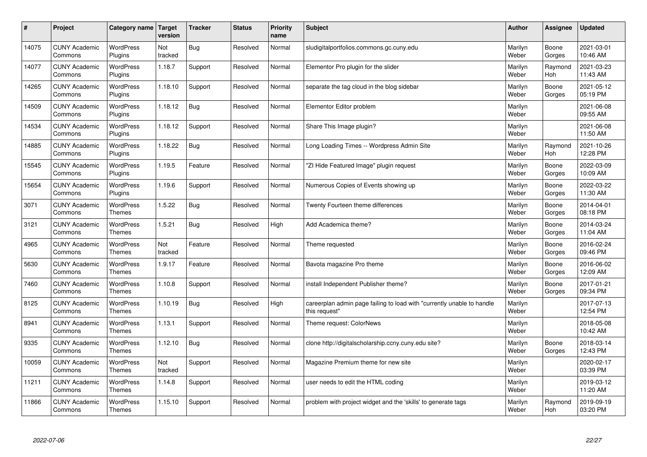| $\#$  | Project                         | Category name                     | Target<br>version | <b>Tracker</b> | <b>Status</b> | <b>Priority</b><br>name | <b>Subject</b>                                                                          | <b>Author</b>    | <b>Assignee</b> | <b>Updated</b>         |
|-------|---------------------------------|-----------------------------------|-------------------|----------------|---------------|-------------------------|-----------------------------------------------------------------------------------------|------------------|-----------------|------------------------|
| 14075 | <b>CUNY Academic</b><br>Commons | <b>WordPress</b><br>Plugins       | Not<br>tracked    | <b>Bug</b>     | Resolved      | Normal                  | sludigitalportfolios.commons.gc.cuny.edu                                                | Marilyn<br>Weber | Boone<br>Gorges | 2021-03-01<br>10:46 AM |
| 14077 | <b>CUNY Academic</b><br>Commons | <b>WordPress</b><br>Plugins       | 1.18.7            | Support        | Resolved      | Normal                  | Elementor Pro plugin for the slider                                                     | Marilyn<br>Weber | Raymond<br>Hoh  | 2021-03-23<br>11:43 AM |
| 14265 | <b>CUNY Academic</b><br>Commons | <b>WordPress</b><br>Plugins       | 1.18.10           | Support        | Resolved      | Normal                  | separate the tag cloud in the blog sidebar                                              | Marilyn<br>Weber | Boone<br>Gorges | 2021-05-12<br>05:19 PM |
| 14509 | <b>CUNY Academic</b><br>Commons | <b>WordPress</b><br>Plugins       | 1.18.12           | Bug            | Resolved      | Normal                  | Elementor Editor problem                                                                | Marilyn<br>Weber |                 | 2021-06-08<br>09:55 AM |
| 14534 | <b>CUNY Academic</b><br>Commons | <b>WordPress</b><br>Plugins       | 1.18.12           | Support        | Resolved      | Normal                  | Share This Image plugin?                                                                | Marilyn<br>Weber |                 | 2021-06-08<br>11:50 AM |
| 14885 | <b>CUNY Academic</b><br>Commons | <b>WordPress</b><br>Plugins       | 1.18.22           | Bug            | Resolved      | Normal                  | Long Loading Times -- Wordpress Admin Site                                              | Marilyn<br>Weber | Raymond<br>Hoh  | 2021-10-26<br>12:28 PM |
| 15545 | <b>CUNY Academic</b><br>Commons | <b>WordPress</b><br>Plugins       | 1.19.5            | Feature        | Resolved      | Normal                  | "ZI Hide Featured Image" plugin request                                                 | Marilyn<br>Weber | Boone<br>Gorges | 2022-03-09<br>10:09 AM |
| 15654 | <b>CUNY Academic</b><br>Commons | WordPress<br>Plugins              | 1.19.6            | Support        | Resolved      | Normal                  | Numerous Copies of Events showing up                                                    | Marilyn<br>Weber | Boone<br>Gorges | 2022-03-22<br>11:30 AM |
| 3071  | <b>CUNY Academic</b><br>Commons | <b>WordPress</b><br><b>Themes</b> | 1.5.22            | Bug            | Resolved      | Normal                  | Twenty Fourteen theme differences                                                       | Marilyn<br>Weber | Boone<br>Gorges | 2014-04-01<br>08:18 PM |
| 3121  | <b>CUNY Academic</b><br>Commons | <b>WordPress</b><br><b>Themes</b> | 1.5.21            | Bug            | Resolved      | High                    | Add Academica theme?                                                                    | Marilyn<br>Weber | Boone<br>Gorges | 2014-03-24<br>11:04 AM |
| 4965  | <b>CUNY Academic</b><br>Commons | <b>WordPress</b><br><b>Themes</b> | Not<br>tracked    | Feature        | Resolved      | Normal                  | Theme requested                                                                         | Marilyn<br>Weber | Boone<br>Gorges | 2016-02-24<br>09:46 PM |
| 5630  | <b>CUNY Academic</b><br>Commons | <b>WordPress</b><br><b>Themes</b> | 1.9.17            | Feature        | Resolved      | Normal                  | Bavota magazine Pro theme                                                               | Marilyn<br>Weber | Boone<br>Gorges | 2016-06-02<br>12:09 AM |
| 7460  | <b>CUNY Academic</b><br>Commons | <b>WordPress</b><br><b>Themes</b> | 1.10.8            | Support        | Resolved      | Normal                  | install Independent Publisher theme?                                                    | Marilyn<br>Weber | Boone<br>Gorges | 2017-01-21<br>09:34 PM |
| 8125  | <b>CUNY Academic</b><br>Commons | <b>WordPress</b><br><b>Themes</b> | 1.10.19           | Bug            | Resolved      | High                    | careerplan admin page failing to load with "currently unable to handle<br>this request" | Marilyn<br>Weber |                 | 2017-07-13<br>12:54 PM |
| 8941  | <b>CUNY Academic</b><br>Commons | <b>WordPress</b><br><b>Themes</b> | 1.13.1            | Support        | Resolved      | Normal                  | Theme request: ColorNews                                                                | Marilyn<br>Weber |                 | 2018-05-08<br>10:42 AM |
| 9335  | <b>CUNY Academic</b><br>Commons | <b>WordPress</b><br><b>Themes</b> | 1.12.10           | Bug            | Resolved      | Normal                  | clone http://digitalscholarship.ccny.cuny.edu site?                                     | Marilyn<br>Weber | Boone<br>Gorges | 2018-03-14<br>12:43 PM |
| 10059 | <b>CUNY Academic</b><br>Commons | WordPress<br>Themes               | Not<br>tracked    | Support        | Resolved      | Normal                  | Magazine Premium theme for new site                                                     | Marilyn<br>Weber |                 | 2020-02-17<br>03:39 PM |
| 11211 | <b>CUNY Academic</b><br>Commons | WordPress<br><b>Themes</b>        | 1.14.8            | Support        | Resolved      | Normal                  | user needs to edit the HTML coding                                                      | Marilyn<br>Weber |                 | 2019-03-12<br>11:20 AM |
| 11866 | <b>CUNY Academic</b><br>Commons | <b>WordPress</b><br><b>Themes</b> | 1.15.10           | Support        | Resolved      | Normal                  | problem with project widget and the 'skills' to generate tags                           | Marilyn<br>Weber | Raymond<br>Hoh  | 2019-09-19<br>03:20 PM |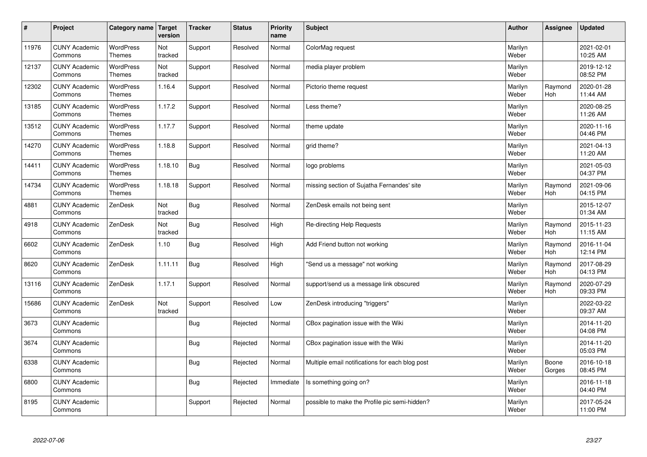| $\sharp$ | Project                         | Category name   Target            | version        | <b>Tracker</b> | <b>Status</b> | <b>Priority</b><br>name | <b>Subject</b>                                  | <b>Author</b>    | <b>Assignee</b>       | <b>Updated</b>         |
|----------|---------------------------------|-----------------------------------|----------------|----------------|---------------|-------------------------|-------------------------------------------------|------------------|-----------------------|------------------------|
| 11976    | <b>CUNY Academic</b><br>Commons | <b>WordPress</b><br><b>Themes</b> | Not<br>tracked | Support        | Resolved      | Normal                  | ColorMag request                                | Marilyn<br>Weber |                       | 2021-02-01<br>10:25 AM |
| 12137    | <b>CUNY Academic</b><br>Commons | <b>WordPress</b><br>Themes        | Not<br>tracked | Support        | Resolved      | Normal                  | media player problem                            | Marilyn<br>Weber |                       | 2019-12-12<br>08:52 PM |
| 12302    | <b>CUNY Academic</b><br>Commons | <b>WordPress</b><br><b>Themes</b> | 1.16.4         | Support        | Resolved      | Normal                  | Pictorio theme request                          | Marilyn<br>Weber | Raymond<br><b>Hoh</b> | 2020-01-28<br>11:44 AM |
| 13185    | <b>CUNY Academic</b><br>Commons | <b>WordPress</b><br>Themes        | 1.17.2         | Support        | Resolved      | Normal                  | Less theme?                                     | Marilyn<br>Weber |                       | 2020-08-25<br>11:26 AM |
| 13512    | <b>CUNY Academic</b><br>Commons | <b>WordPress</b><br><b>Themes</b> | 1.17.7         | Support        | Resolved      | Normal                  | theme update                                    | Marilyn<br>Weber |                       | 2020-11-16<br>04:46 PM |
| 14270    | <b>CUNY Academic</b><br>Commons | WordPress<br><b>Themes</b>        | 1.18.8         | Support        | Resolved      | Normal                  | grid theme?                                     | Marilyn<br>Weber |                       | 2021-04-13<br>11:20 AM |
| 14411    | <b>CUNY Academic</b><br>Commons | <b>WordPress</b><br><b>Themes</b> | 1.18.10        | Bug            | Resolved      | Normal                  | logo problems                                   | Marilyn<br>Weber |                       | 2021-05-03<br>04:37 PM |
| 14734    | <b>CUNY Academic</b><br>Commons | <b>WordPress</b><br><b>Themes</b> | 1.18.18        | Support        | Resolved      | Normal                  | missing section of Sujatha Fernandes' site      | Marilyn<br>Weber | Raymond<br><b>Hoh</b> | 2021-09-06<br>04:15 PM |
| 4881     | <b>CUNY Academic</b><br>Commons | ZenDesk                           | Not<br>tracked | Bug            | Resolved      | Normal                  | ZenDesk emails not being sent                   | Marilyn<br>Weber |                       | 2015-12-07<br>01:34 AM |
| 4918     | <b>CUNY Academic</b><br>Commons | ZenDesk                           | Not<br>tracked | Bug            | Resolved      | High                    | Re-directing Help Requests                      | Marilyn<br>Weber | Raymond<br>Hoh        | 2015-11-23<br>11:15 AM |
| 6602     | <b>CUNY Academic</b><br>Commons | ZenDesk                           | 1.10           | Bug            | Resolved      | High                    | Add Friend button not working                   | Marilyn<br>Weber | Raymond<br><b>Hoh</b> | 2016-11-04<br>12:14 PM |
| 8620     | <b>CUNY Academic</b><br>Commons | ZenDesk                           | 1.11.11        | Bug            | Resolved      | High                    | 'Send us a message" not working                 | Marilyn<br>Weber | Raymond<br>Hoh        | 2017-08-29<br>04:13 PM |
| 13116    | <b>CUNY Academic</b><br>Commons | ZenDesk                           | 1.17.1         | Support        | Resolved      | Normal                  | support/send us a message link obscured         | Marilyn<br>Weber | Raymond<br>Hoh        | 2020-07-29<br>09:33 PM |
| 15686    | <b>CUNY Academic</b><br>Commons | ZenDesk                           | Not<br>tracked | Support        | Resolved      | Low                     | ZenDesk introducing "triggers"                  | Marilyn<br>Weber |                       | 2022-03-22<br>09:37 AM |
| 3673     | <b>CUNY Academic</b><br>Commons |                                   |                | Bug            | Rejected      | Normal                  | CBox pagination issue with the Wiki             | Marilyn<br>Weber |                       | 2014-11-20<br>04:08 PM |
| 3674     | <b>CUNY Academic</b><br>Commons |                                   |                | <b>Bug</b>     | Rejected      | Normal                  | CBox pagination issue with the Wiki             | Marilyn<br>Weber |                       | 2014-11-20<br>05:03 PM |
| 6338     | <b>CUNY Academic</b><br>Commons |                                   |                | Bug            | Rejected      | Normal                  | Multiple email notifications for each blog post | Marilyn<br>Weber | Boone<br>Gorges       | 2016-10-18<br>08:45 PM |
| 6800     | <b>CUNY Academic</b><br>Commons |                                   |                | Bug            | Rejected      | Immediate               | Is something going on?                          | Marilyn<br>Weber |                       | 2016-11-18<br>04:40 PM |
| 8195     | <b>CUNY Academic</b><br>Commons |                                   |                | Support        | Rejected      | Normal                  | possible to make the Profile pic semi-hidden?   | Marilyn<br>Weber |                       | 2017-05-24<br>11:00 PM |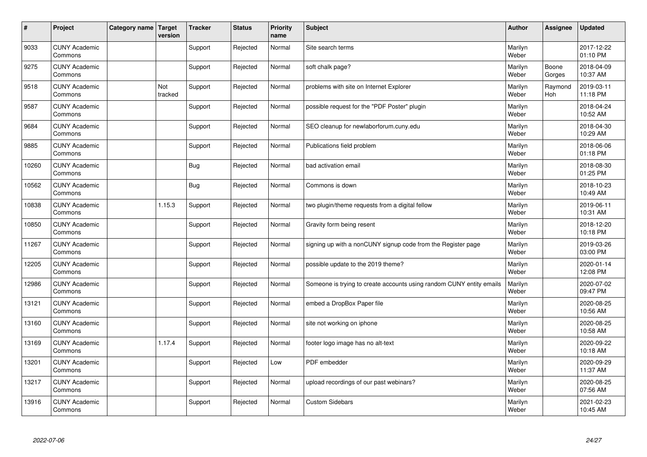| $\vert$ # | Project                         | Category name   Target | version        | <b>Tracker</b> | <b>Status</b> | <b>Priority</b><br>name | <b>Subject</b>                                                       | <b>Author</b>    | <b>Assignee</b> | <b>Updated</b>         |
|-----------|---------------------------------|------------------------|----------------|----------------|---------------|-------------------------|----------------------------------------------------------------------|------------------|-----------------|------------------------|
| 9033      | <b>CUNY Academic</b><br>Commons |                        |                | Support        | Rejected      | Normal                  | Site search terms                                                    | Marilyn<br>Weber |                 | 2017-12-22<br>01:10 PM |
| 9275      | <b>CUNY Academic</b><br>Commons |                        |                | Support        | Rejected      | Normal                  | soft chalk page?                                                     | Marilyn<br>Weber | Boone<br>Gorges | 2018-04-09<br>10:37 AM |
| 9518      | <b>CUNY Academic</b><br>Commons |                        | Not<br>tracked | Support        | Rejected      | Normal                  | problems with site on Internet Explorer                              | Marilyn<br>Weber | Raymond<br>Hoh  | 2019-03-11<br>11:18 PM |
| 9587      | <b>CUNY Academic</b><br>Commons |                        |                | Support        | Rejected      | Normal                  | possible request for the "PDF Poster" plugin                         | Marilyn<br>Weber |                 | 2018-04-24<br>10:52 AM |
| 9684      | <b>CUNY Academic</b><br>Commons |                        |                | Support        | Rejected      | Normal                  | SEO cleanup for newlaborforum.cuny.edu                               | Marilyn<br>Weber |                 | 2018-04-30<br>10:29 AM |
| 9885      | <b>CUNY Academic</b><br>Commons |                        |                | Support        | Rejected      | Normal                  | Publications field problem                                           | Marilyn<br>Weber |                 | 2018-06-06<br>01:18 PM |
| 10260     | <b>CUNY Academic</b><br>Commons |                        |                | Bug            | Rejected      | Normal                  | bad activation email                                                 | Marilyn<br>Weber |                 | 2018-08-30<br>01:25 PM |
| 10562     | <b>CUNY Academic</b><br>Commons |                        |                | Bug            | Rejected      | Normal                  | Commons is down                                                      | Marilyn<br>Weber |                 | 2018-10-23<br>10:49 AM |
| 10838     | <b>CUNY Academic</b><br>Commons |                        | 1.15.3         | Support        | Rejected      | Normal                  | two plugin/theme requests from a digital fellow                      | Marilyn<br>Weber |                 | 2019-06-11<br>10:31 AM |
| 10850     | <b>CUNY Academic</b><br>Commons |                        |                | Support        | Rejected      | Normal                  | Gravity form being resent                                            | Marilyn<br>Weber |                 | 2018-12-20<br>10:18 PM |
| 11267     | <b>CUNY Academic</b><br>Commons |                        |                | Support        | Rejected      | Normal                  | signing up with a nonCUNY signup code from the Register page         | Marilyn<br>Weber |                 | 2019-03-26<br>03:00 PM |
| 12205     | <b>CUNY Academic</b><br>Commons |                        |                | Support        | Rejected      | Normal                  | possible update to the 2019 theme?                                   | Marilyn<br>Weber |                 | 2020-01-14<br>12:08 PM |
| 12986     | <b>CUNY Academic</b><br>Commons |                        |                | Support        | Rejected      | Normal                  | Someone is trying to create accounts using random CUNY entity emails | Marilyn<br>Weber |                 | 2020-07-02<br>09:47 PM |
| 13121     | <b>CUNY Academic</b><br>Commons |                        |                | Support        | Rejected      | Normal                  | embed a DropBox Paper file                                           | Marilyn<br>Weber |                 | 2020-08-25<br>10:56 AM |
| 13160     | <b>CUNY Academic</b><br>Commons |                        |                | Support        | Rejected      | Normal                  | site not working on iphone                                           | Marilyn<br>Weber |                 | 2020-08-25<br>10:58 AM |
| 13169     | <b>CUNY Academic</b><br>Commons |                        | 1.17.4         | Support        | Rejected      | Normal                  | footer logo image has no alt-text                                    | Marilyn<br>Weber |                 | 2020-09-22<br>10:18 AM |
| 13201     | <b>CUNY Academic</b><br>Commons |                        |                | Support        | Rejected      | Low                     | PDF embedder                                                         | Marilyn<br>Weber |                 | 2020-09-29<br>11:37 AM |
| 13217     | <b>CUNY Academic</b><br>Commons |                        |                | Support        | Rejected      | Normal                  | upload recordings of our past webinars?                              | Marilyn<br>Weber |                 | 2020-08-25<br>07:56 AM |
| 13916     | <b>CUNY Academic</b><br>Commons |                        |                | Support        | Rejected      | Normal                  | <b>Custom Sidebars</b>                                               | Marilyn<br>Weber |                 | 2021-02-23<br>10:45 AM |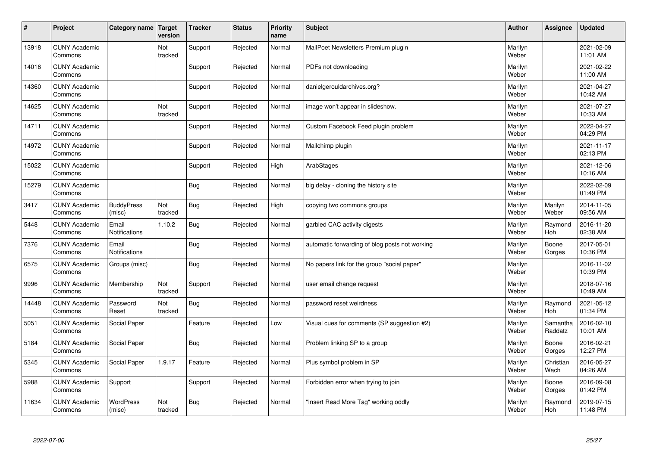| $\sharp$ | Project                         | Category name   Target        | version        | <b>Tracker</b> | <b>Status</b> | <b>Priority</b><br>name | <b>Subject</b>                                 | <b>Author</b>    | Assignee              | <b>Updated</b>         |
|----------|---------------------------------|-------------------------------|----------------|----------------|---------------|-------------------------|------------------------------------------------|------------------|-----------------------|------------------------|
| 13918    | <b>CUNY Academic</b><br>Commons |                               | Not<br>tracked | Support        | Rejected      | Normal                  | MailPoet Newsletters Premium plugin            | Marilyn<br>Weber |                       | 2021-02-09<br>11:01 AM |
| 14016    | <b>CUNY Academic</b><br>Commons |                               |                | Support        | Rejected      | Normal                  | PDFs not downloading                           | Marilyn<br>Weber |                       | 2021-02-22<br>11:00 AM |
| 14360    | <b>CUNY Academic</b><br>Commons |                               |                | Support        | Rejected      | Normal                  | danielgerouldarchives.org?                     | Marilyn<br>Weber |                       | 2021-04-27<br>10:42 AM |
| 14625    | <b>CUNY Academic</b><br>Commons |                               | Not<br>tracked | Support        | Rejected      | Normal                  | image won't appear in slideshow.               | Marilyn<br>Weber |                       | 2021-07-27<br>10:33 AM |
| 14711    | <b>CUNY Academic</b><br>Commons |                               |                | Support        | Rejected      | Normal                  | Custom Facebook Feed plugin problem            | Marilyn<br>Weber |                       | 2022-04-27<br>04:29 PM |
| 14972    | <b>CUNY Academic</b><br>Commons |                               |                | Support        | Rejected      | Normal                  | Mailchimp plugin                               | Marilyn<br>Weber |                       | 2021-11-17<br>02:13 PM |
| 15022    | <b>CUNY Academic</b><br>Commons |                               |                | Support        | Rejected      | High                    | ArabStages                                     | Marilyn<br>Weber |                       | 2021-12-06<br>10:16 AM |
| 15279    | <b>CUNY Academic</b><br>Commons |                               |                | Bug            | Rejected      | Normal                  | big delay - cloning the history site           | Marilyn<br>Weber |                       | 2022-02-09<br>01:49 PM |
| 3417     | <b>CUNY Academic</b><br>Commons | <b>BuddyPress</b><br>(misc)   | Not<br>tracked | Bug            | Rejected      | High                    | copying two commons groups                     | Marilyn<br>Weber | Marilyn<br>Weber      | 2014-11-05<br>09:56 AM |
| 5448     | <b>CUNY Academic</b><br>Commons | Email<br>Notifications        | 1.10.2         | Bug            | Rejected      | Normal                  | garbled CAC activity digests                   | Marilyn<br>Weber | Raymond<br>Hoh        | 2016-11-20<br>02:38 AM |
| 7376     | <b>CUNY Academic</b><br>Commons | Email<br><b>Notifications</b> |                | Bug            | Rejected      | Normal                  | automatic forwarding of blog posts not working | Marilyn<br>Weber | Boone<br>Gorges       | 2017-05-01<br>10:36 PM |
| 6575     | <b>CUNY Academic</b><br>Commons | Groups (misc)                 |                | <b>Bug</b>     | Rejected      | Normal                  | No papers link for the group "social paper"    | Marilyn<br>Weber |                       | 2016-11-02<br>10:39 PM |
| 9996     | <b>CUNY Academic</b><br>Commons | Membership                    | Not<br>tracked | Support        | Rejected      | Normal                  | user email change request                      | Marilyn<br>Weber |                       | 2018-07-16<br>10:49 AM |
| 14448    | <b>CUNY Academic</b><br>Commons | Password<br>Reset             | Not<br>tracked | Bug            | Rejected      | Normal                  | password reset weirdness                       | Marilyn<br>Weber | Raymond<br><b>Hoh</b> | 2021-05-12<br>01:34 PM |
| 5051     | <b>CUNY Academic</b><br>Commons | Social Paper                  |                | Feature        | Rejected      | Low                     | Visual cues for comments (SP suggestion #2)    | Marilyn<br>Weber | Samantha<br>Raddatz   | 2016-02-10<br>10:01 AM |
| 5184     | <b>CUNY Academic</b><br>Commons | Social Paper                  |                | Bug            | Rejected      | Normal                  | Problem linking SP to a group                  | Marilyn<br>Weber | Boone<br>Gorges       | 2016-02-21<br>12:27 PM |
| 5345     | <b>CUNY Academic</b><br>Commons | Social Paper                  | 1.9.17         | Feature        | Rejected      | Normal                  | Plus symbol problem in SP                      | Marilyn<br>Weber | Christian<br>Wach     | 2016-05-27<br>04:26 AM |
| 5988     | <b>CUNY Academic</b><br>Commons | Support                       |                | Support        | Rejected      | Normal                  | Forbidden error when trying to join            | Marilyn<br>Weber | Boone<br>Gorges       | 2016-09-08<br>01:42 PM |
| 11634    | <b>CUNY Academic</b><br>Commons | <b>WordPress</b><br>(misc)    | Not<br>tracked | Bug            | Rejected      | Normal                  | 'Insert Read More Tag" working oddly           | Marilyn<br>Weber | Raymond<br>Hoh        | 2019-07-15<br>11:48 PM |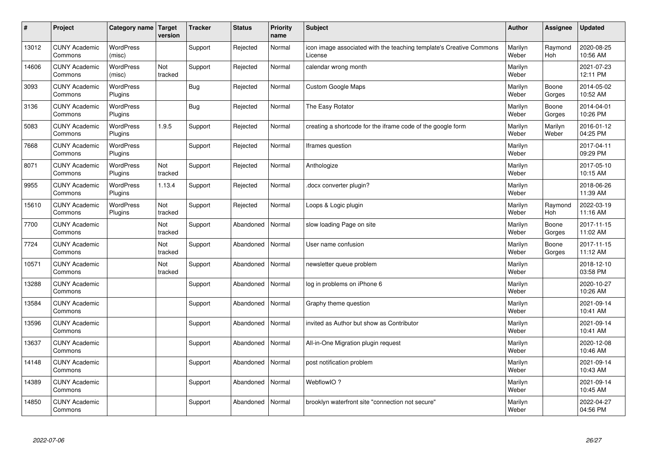| $\sharp$ | Project                         | Category name   Target      | version        | <b>Tracker</b> | <b>Status</b> | <b>Priority</b><br>name | <b>Subject</b>                                                                 | <b>Author</b>    | Assignee         | <b>Updated</b>         |
|----------|---------------------------------|-----------------------------|----------------|----------------|---------------|-------------------------|--------------------------------------------------------------------------------|------------------|------------------|------------------------|
| 13012    | <b>CUNY Academic</b><br>Commons | <b>WordPress</b><br>(misc)  |                | Support        | Rejected      | Normal                  | icon image associated with the teaching template's Creative Commons<br>License | Marilyn<br>Weber | Raymond<br>Hoh   | 2020-08-25<br>10:56 AM |
| 14606    | <b>CUNY Academic</b><br>Commons | <b>WordPress</b><br>(misc)  | Not<br>tracked | Support        | Rejected      | Normal                  | calendar wrong month                                                           | Marilyn<br>Weber |                  | 2021-07-23<br>12:11 PM |
| 3093     | <b>CUNY Academic</b><br>Commons | WordPress<br>Plugins        |                | Bug            | Rejected      | Normal                  | <b>Custom Google Maps</b>                                                      | Marilyn<br>Weber | Boone<br>Gorges  | 2014-05-02<br>10:52 AM |
| 3136     | <b>CUNY Academic</b><br>Commons | <b>WordPress</b><br>Plugins |                | Bug            | Rejected      | Normal                  | The Easy Rotator                                                               | Marilyn<br>Weber | Boone<br>Gorges  | 2014-04-01<br>10:26 PM |
| 5083     | <b>CUNY Academic</b><br>Commons | <b>WordPress</b><br>Plugins | 1.9.5          | Support        | Rejected      | Normal                  | creating a shortcode for the iframe code of the google form                    | Marilyn<br>Weber | Marilyn<br>Weber | 2016-01-12<br>04:25 PM |
| 7668     | <b>CUNY Academic</b><br>Commons | <b>WordPress</b><br>Plugins |                | Support        | Rejected      | Normal                  | Iframes question                                                               | Marilyn<br>Weber |                  | 2017-04-11<br>09:29 PM |
| 8071     | <b>CUNY Academic</b><br>Commons | <b>WordPress</b><br>Plugins | Not<br>tracked | Support        | Rejected      | Normal                  | Anthologize                                                                    | Marilyn<br>Weber |                  | 2017-05-10<br>10:15 AM |
| 9955     | <b>CUNY Academic</b><br>Commons | WordPress<br>Plugins        | 1.13.4         | Support        | Rejected      | Normal                  | docx converter plugin?                                                         | Marilyn<br>Weber |                  | 2018-06-26<br>11:39 AM |
| 15610    | <b>CUNY Academic</b><br>Commons | <b>WordPress</b><br>Plugins | Not<br>tracked | Support        | Rejected      | Normal                  | Loops & Logic plugin                                                           | Marilyn<br>Weber | Raymond<br>Hoh   | 2022-03-19<br>11:16 AM |
| 7700     | <b>CUNY Academic</b><br>Commons |                             | Not<br>tracked | Support        | Abandoned     | Normal                  | slow loading Page on site                                                      | Marilyn<br>Weber | Boone<br>Gorges  | 2017-11-15<br>11:02 AM |
| 7724     | <b>CUNY Academic</b><br>Commons |                             | Not<br>tracked | Support        | Abandoned     | Normal                  | User name confusion                                                            | Marilyn<br>Weber | Boone<br>Gorges  | 2017-11-15<br>11:12 AM |
| 10571    | <b>CUNY Academic</b><br>Commons |                             | Not<br>tracked | Support        | Abandoned     | Normal                  | newsletter queue problem                                                       | Marilyn<br>Weber |                  | 2018-12-10<br>03:58 PM |
| 13288    | <b>CUNY Academic</b><br>Commons |                             |                | Support        | Abandoned     | Normal                  | log in problems on iPhone 6                                                    | Marilyn<br>Weber |                  | 2020-10-27<br>10:26 AM |
| 13584    | <b>CUNY Academic</b><br>Commons |                             |                | Support        | Abandoned     | Normal                  | Graphy theme question                                                          | Marilyn<br>Weber |                  | 2021-09-14<br>10:41 AM |
| 13596    | <b>CUNY Academic</b><br>Commons |                             |                | Support        | Abandoned     | Normal                  | invited as Author but show as Contributor                                      | Marilyn<br>Weber |                  | 2021-09-14<br>10:41 AM |
| 13637    | <b>CUNY Academic</b><br>Commons |                             |                | Support        | Abandoned     | Normal                  | All-in-One Migration plugin request                                            | Marilyn<br>Weber |                  | 2020-12-08<br>10:46 AM |
| 14148    | <b>CUNY Academic</b><br>Commons |                             |                | Support        | Abandoned     | Normal                  | post notification problem                                                      | Marilyn<br>Weber |                  | 2021-09-14<br>10:43 AM |
| 14389    | <b>CUNY Academic</b><br>Commons |                             |                | Support        | Abandoned     | Normal                  | WebflowIO?                                                                     | Marilyn<br>Weber |                  | 2021-09-14<br>10:45 AM |
| 14850    | <b>CUNY Academic</b><br>Commons |                             |                | Support        | Abandoned     | Normal                  | brooklyn waterfront site "connection not secure"                               | Marilyn<br>Weber |                  | 2022-04-27<br>04:56 PM |